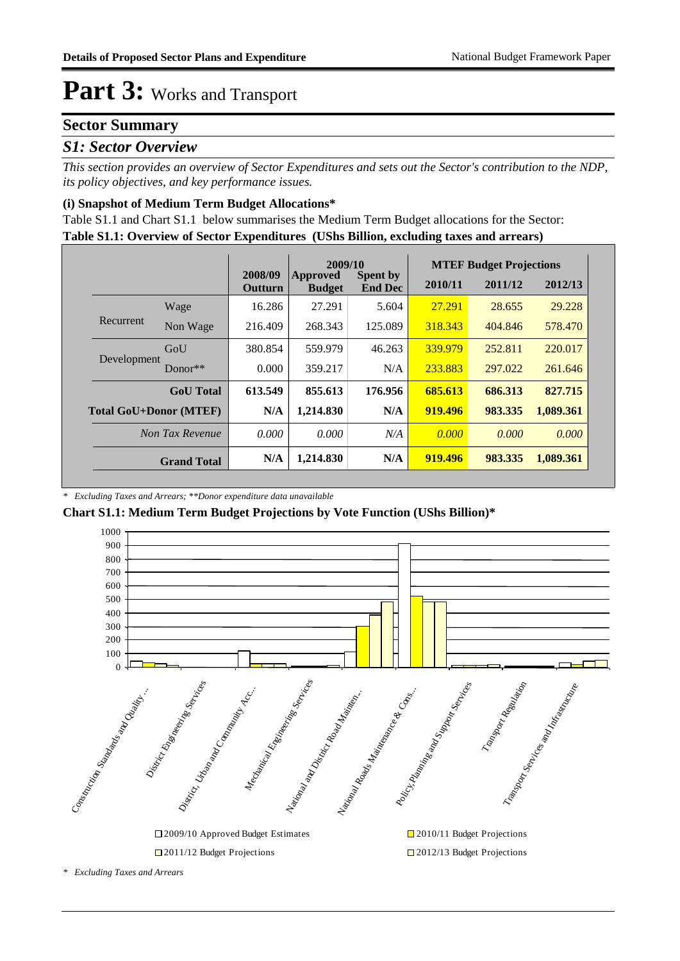#### **Sector Summary**

#### *S1: Sector Overview*

*This section provides an overview of Sector Expenditures and sets out the Sector's contribution to the NDP, its policy objectives, and key performance issues.* 

#### **(i) Snapshot of Medium Term Budget Allocations\***

**Table S1.1: Overview of Sector Expenditures (UShs Billion, excluding taxes and arrears)** Table S1.1 and Chart S1.1 below summarises the Medium Term Budget allocations for the Sector:

|                               |                    | 2009/10                   |                           |                                   | <b>MTEF Budget Projections</b> |         |           |  |
|-------------------------------|--------------------|---------------------------|---------------------------|-----------------------------------|--------------------------------|---------|-----------|--|
|                               |                    | 2008/09<br><b>Outturn</b> | Approved<br><b>Budget</b> | <b>Spent by</b><br><b>End Dec</b> | 2010/11                        | 2011/12 | 2012/13   |  |
|                               | Wage               | 16.286                    | 27.291                    | 5.604                             | 27.291                         | 28.655  | 29.228    |  |
| Recurrent                     | Non Wage           | 216.409                   | 268.343                   | 125.089                           | 318.343                        | 404.846 | 578.470   |  |
|                               | GoU                | 380.854                   | 559.979                   | 46.263                            | 339.979                        | 252.811 | 220.017   |  |
| Development                   | Donor $**$         | 0.000                     | 359.217                   | N/A                               | 233.883                        | 297.022 | 261.646   |  |
|                               | <b>GoU</b> Total   | 613.549                   | 855.613                   | 176.956                           | 685.613                        | 686.313 | 827.715   |  |
| <b>Total GoU+Donor (MTEF)</b> |                    | N/A                       | 1,214.830                 | N/A                               | 919.496                        | 983.335 | 1,089.361 |  |
|                               | Non Tax Revenue    | 0.000                     | 0.000                     | N/A                               | 0.000                          | 0.000   | 0.000     |  |
|                               | <b>Grand Total</b> | N/A                       | 1,214.830                 | N/A                               | 919.496                        | 983.335 | 1,089.361 |  |

*\* Excluding Taxes and Arrears; \*\*Donor expenditure data unavailable*

#### **Chart S1.1: Medium Term Budget Projections by Vote Function (UShs Billion)\***



*\* Excluding Taxes and Arrears*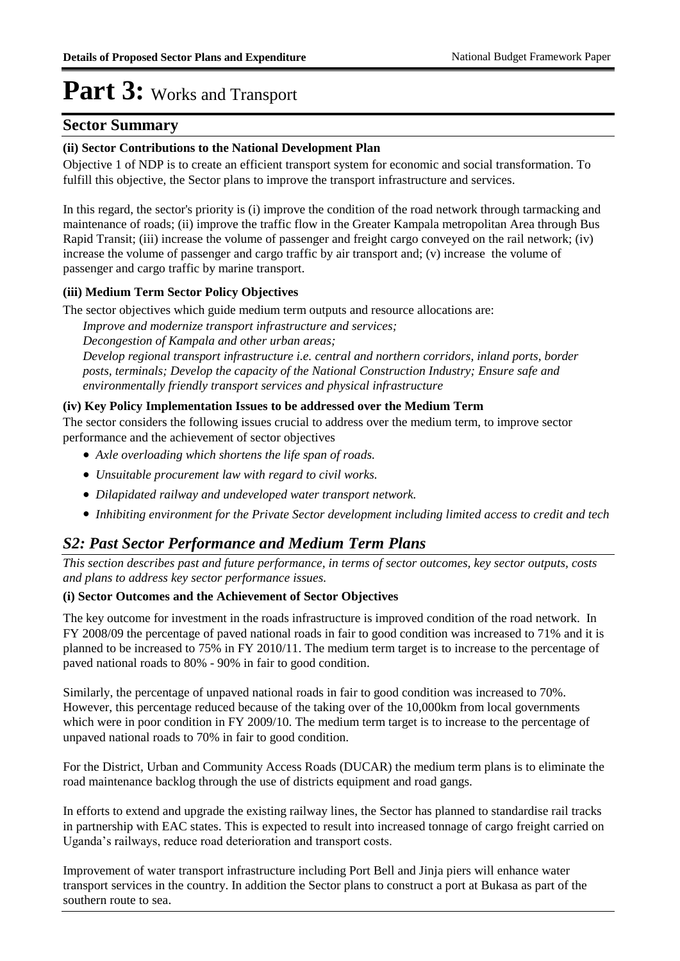#### **Sector Summary**

#### **(ii) Sector Contributions to the National Development Plan**

Objective 1 of NDP is to create an efficient transport system for economic and social transformation. To fulfill this objective, the Sector plans to improve the transport infrastructure and services.

In this regard, the sector's priority is (i) improve the condition of the road network through tarmacking and maintenance of roads; (ii) improve the traffic flow in the Greater Kampala metropolitan Area through Bus Rapid Transit; (iii) increase the volume of passenger and freight cargo conveyed on the rail network; (iv) increase the volume of passenger and cargo traffic by air transport and; (v) increase the volume of passenger and cargo traffic by marine transport.

#### **(iii) Medium Term Sector Policy Objectives**

The sector objectives which guide medium term outputs and resource allocations are:

*Improve and modernize transport infrastructure and services;*

*Decongestion of Kampala and other urban areas;* 

*Develop regional transport infrastructure i.e. central and northern corridors, inland ports, border posts, terminals; Develop the capacity of the National Construction Industry; Ensure safe and environmentally friendly transport services and physical infrastructure*

#### **(iv) Key Policy Implementation Issues to be addressed over the Medium Term**

The sector considers the following issues crucial to address over the medium term, to improve sector performance and the achievement of sector objectives

- *Axle overloading which shortens the life span of roads.*
- *Unsuitable procurement law with regard to civil works.*
- *Dilapidated railway and undeveloped water transport network.*
- *Inhibiting environment for the Private Sector development including limited access to credit and tech*

#### *S2: Past Sector Performance and Medium Term Plans*

*This section describes past and future performance, in terms of sector outcomes, key sector outputs, costs and plans to address key sector performance issues.* 

#### **(i) Sector Outcomes and the Achievement of Sector Objectives**

The key outcome for investment in the roads infrastructure is improved condition of the road network. In FY 2008/09 the percentage of paved national roads in fair to good condition was increased to 71% and it is planned to be increased to 75% in FY 2010/11. The medium term target is to increase to the percentage of paved national roads to 80% - 90% in fair to good condition.

Similarly, the percentage of unpaved national roads in fair to good condition was increased to 70%. However, this percentage reduced because of the taking over of the 10,000km from local governments which were in poor condition in FY 2009/10. The medium term target is to increase to the percentage of unpaved national roads to 70% in fair to good condition.

For the District, Urban and Community Access Roads (DUCAR) the medium term plans is to eliminate the road maintenance backlog through the use of districts equipment and road gangs.

In efforts to extend and upgrade the existing railway lines, the Sector has planned to standardise rail tracks in partnership with EAC states. This is expected to result into increased tonnage of cargo freight carried on Uganda's railways, reduce road deterioration and transport costs.

Improvement of water transport infrastructure including Port Bell and Jinja piers will enhance water transport services in the country. In addition the Sector plans to construct a port at Bukasa as part of the southern route to sea.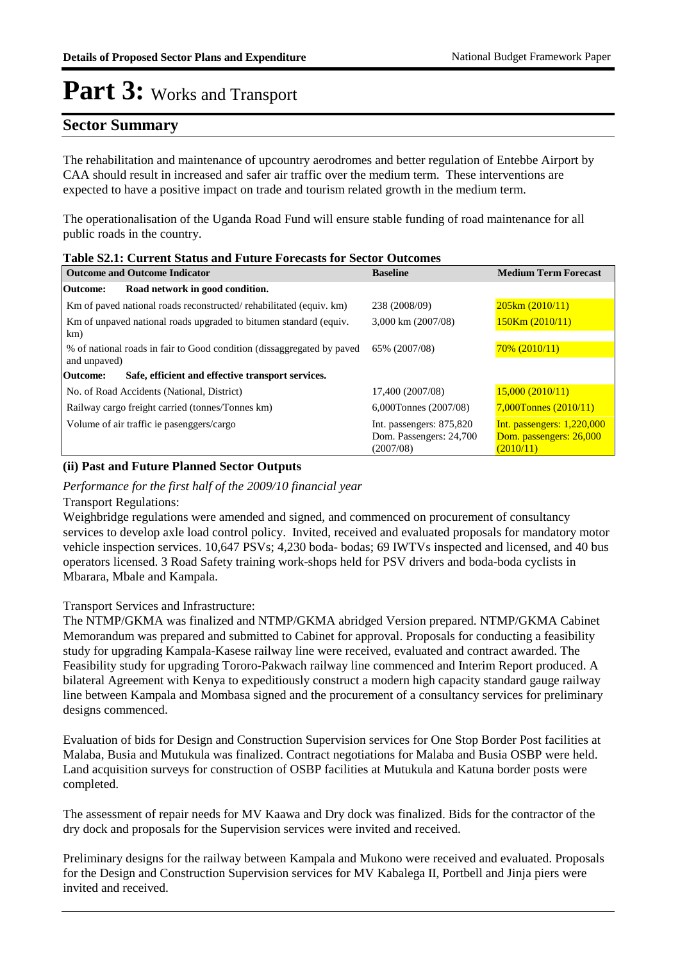#### **Sector Summary**

The rehabilitation and maintenance of upcountry aerodromes and better regulation of Entebbe Airport by CAA should result in increased and safer air traffic over the medium term. These interventions are expected to have a positive impact on trade and tourism related growth in the medium term.

The operationalisation of the Uganda Road Fund will ensure stable funding of road maintenance for all public roads in the country.

| <b>Table S2.1: Current Status and Future Forecasts for Sector Outcomes</b>             |                                                                  |                                                                      |  |  |
|----------------------------------------------------------------------------------------|------------------------------------------------------------------|----------------------------------------------------------------------|--|--|
| <b>Outcome and Outcome Indicator</b>                                                   | <b>Baseline</b>                                                  | <b>Medium Term Forecast</b>                                          |  |  |
| Road network in good condition.<br>Outcome:                                            |                                                                  |                                                                      |  |  |
| Km of paved national roads reconstructed/rehabilitated (equiv. km)                     | 238 (2008/09)                                                    | $205 \text{km} (2010/11)$                                            |  |  |
| Km of unpaved national roads upgraded to bitumen standard (equiv.<br>km)               | 3,000 km (2007/08)                                               | $150$ Km $(2010/11)$                                                 |  |  |
| % of national roads in fair to Good condition (dissaggregated by paved<br>and unpaved) | 65% (2007/08)                                                    | $70\%$ (2010/11)                                                     |  |  |
| Safe, efficient and effective transport services.<br>Outcome:                          |                                                                  |                                                                      |  |  |
| No. of Road Accidents (National, District)                                             | 17,400 (2007/08)                                                 | 15,000(2010/11)                                                      |  |  |
| Railway cargo freight carried (tonnes/Tonnes km)                                       | 6,000Tonnes (2007/08)                                            | $7,000$ Tonnes $(2010/11)$                                           |  |  |
| Volume of air traffic ie pasenggers/cargo                                              | Int. passengers: 875,820<br>Dom. Passengers: 24,700<br>(2007/08) | Int. passengers: $1,220,000$<br>Dom. passengers: 26,000<br>(2010/11) |  |  |

#### **(ii) Past and Future Planned Sector Outputs**

*Performance for the first half of the 2009/10 financial year*

#### Transport Regulations:

Weighbridge regulations were amended and signed, and commenced on procurement of consultancy services to develop axle load control policy. Invited, received and evaluated proposals for mandatory motor vehicle inspection services. 10,647 PSVs; 4,230 boda- bodas; 69 IWTVs inspected and licensed, and 40 bus operators licensed. 3 Road Safety training work-shops held for PSV drivers and boda-boda cyclists in Mbarara, Mbale and Kampala.

#### Transport Services and Infrastructure:

The NTMP/GKMA was finalized and NTMP/GKMA abridged Version prepared. NTMP/GKMA Cabinet Memorandum was prepared and submitted to Cabinet for approval. Proposals for conducting a feasibility study for upgrading Kampala-Kasese railway line were received, evaluated and contract awarded. The Feasibility study for upgrading Tororo-Pakwach railway line commenced and Interim Report produced. A bilateral Agreement with Kenya to expeditiously construct a modern high capacity standard gauge railway line between Kampala and Mombasa signed and the procurement of a consultancy services for preliminary designs commenced.

Evaluation of bids for Design and Construction Supervision services for One Stop Border Post facilities at Malaba, Busia and Mutukula was finalized. Contract negotiations for Malaba and Busia OSBP were held. Land acquisition surveys for construction of OSBP facilities at Mutukula and Katuna border posts were completed.

The assessment of repair needs for MV Kaawa and Dry dock was finalized. Bids for the contractor of the dry dock and proposals for the Supervision services were invited and received.

Preliminary designs for the railway between Kampala and Mukono were received and evaluated. Proposals for the Design and Construction Supervision services for MV Kabalega II, Portbell and Jinja piers were invited and received.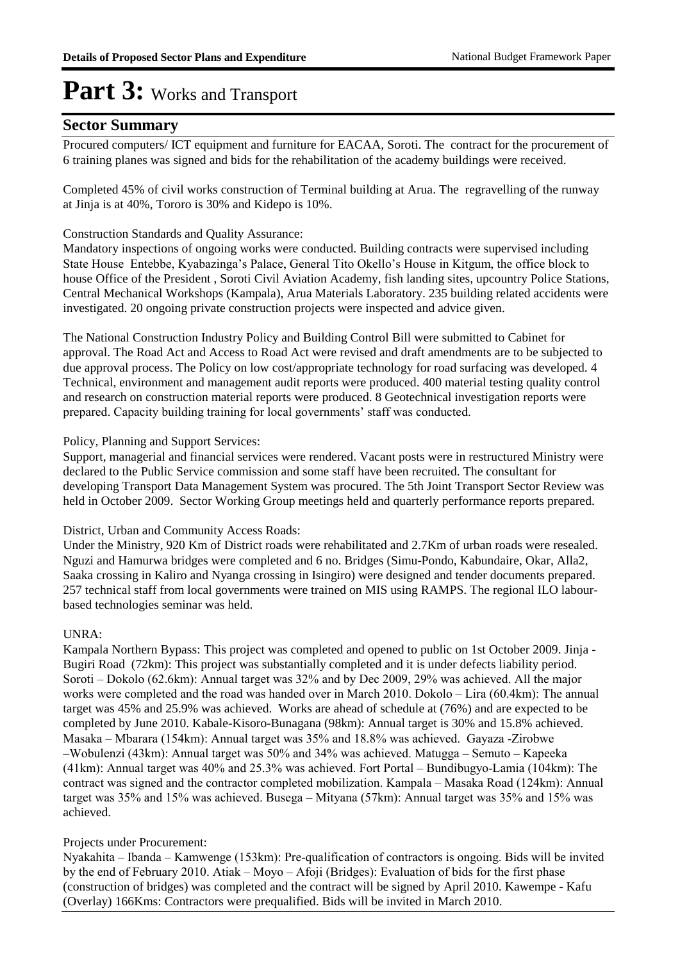#### **Sector Summary**

Procured computers/ ICT equipment and furniture for EACAA, Soroti. The contract for the procurement of 6 training planes was signed and bids for the rehabilitation of the academy buildings were received.

Completed 45% of civil works construction of Terminal building at Arua. The regravelling of the runway at Jinja is at 40%, Tororo is 30% and Kidepo is 10%.

#### Construction Standards and Quality Assurance:

Mandatory inspections of ongoing works were conducted. Building contracts were supervised including State House Entebbe, Kyabazinga's Palace, General Tito Okello's House in Kitgum, the office block to house Office of the President , Soroti Civil Aviation Academy, fish landing sites, upcountry Police Stations, Central Mechanical Workshops (Kampala), Arua Materials Laboratory. 235 building related accidents were investigated. 20 ongoing private construction projects were inspected and advice given.

The National Construction Industry Policy and Building Control Bill were submitted to Cabinet for approval. The Road Act and Access to Road Act were revised and draft amendments are to be subjected to due approval process. The Policy on low cost/appropriate technology for road surfacing was developed. 4 Technical, environment and management audit reports were produced. 400 material testing quality control and research on construction material reports were produced. 8 Geotechnical investigation reports were prepared. Capacity building training for local governments' staff was conducted.

#### Policy, Planning and Support Services:

Support, managerial and financial services were rendered. Vacant posts were in restructured Ministry were declared to the Public Service commission and some staff have been recruited. The consultant for developing Transport Data Management System was procured. The 5th Joint Transport Sector Review was held in October 2009. Sector Working Group meetings held and quarterly performance reports prepared.

#### District, Urban and Community Access Roads:

Under the Ministry, 920 Km of District roads were rehabilitated and 2.7Km of urban roads were resealed. Nguzi and Hamurwa bridges were completed and 6 no. Bridges (Simu-Pondo, Kabundaire, Okar, Alla2, Saaka crossing in Kaliro and Nyanga crossing in Isingiro) were designed and tender documents prepared. 257 technical staff from local governments were trained on MIS using RAMPS. The regional ILO labourbased technologies seminar was held.

#### UNRA:

Kampala Northern Bypass: This project was completed and opened to public on 1st October 2009. Jinja - Bugiri Road (72km): This project was substantially completed and it is under defects liability period. Soroti – Dokolo (62.6km): Annual target was 32% and by Dec 2009, 29% was achieved. All the major works were completed and the road was handed over in March 2010. Dokolo – Lira (60.4km): The annual target was 45% and 25.9% was achieved. Works are ahead of schedule at (76%) and are expected to be completed by June 2010. Kabale-Kisoro-Bunagana (98km): Annual target is 30% and 15.8% achieved. Masaka – Mbarara (154km): Annual target was 35% and 18.8% was achieved. Gayaza -Zirobwe –Wobulenzi (43km): Annual target was 50% and 34% was achieved. Matugga – Semuto – Kapeeka (41km): Annual target was 40% and 25.3% was achieved. Fort Portal – Bundibugyo-Lamia (104km): The contract was signed and the contractor completed mobilization. Kampala – Masaka Road (124km): Annual target was 35% and 15% was achieved. Busega – Mityana (57km): Annual target was 35% and 15% was achieved.

#### Projects under Procurement:

Nyakahita – Ibanda – Kamwenge (153km): Pre-qualification of contractors is ongoing. Bids will be invited by the end of February 2010. Atiak – Moyo – Afoji (Bridges): Evaluation of bids for the first phase (construction of bridges) was completed and the contract will be signed by April 2010. Kawempe - Kafu (Overlay) 166Kms: Contractors were prequalified. Bids will be invited in March 2010.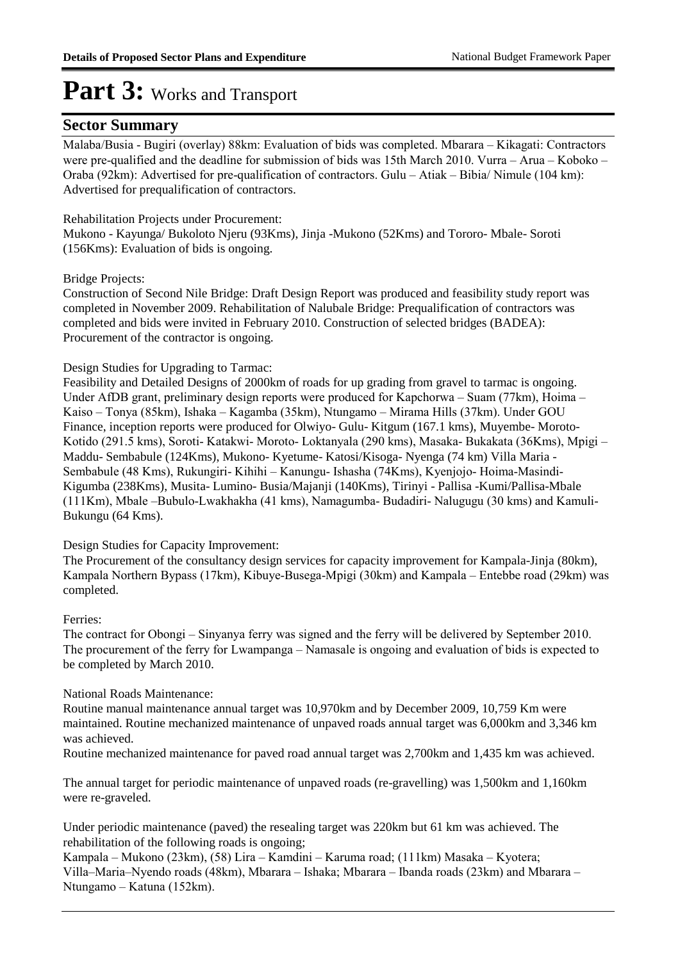#### **Sector Summary**

Malaba/Busia - Bugiri (overlay) 88km: Evaluation of bids was completed. Mbarara – Kikagati: Contractors were pre-qualified and the deadline for submission of bids was 15th March 2010. Vurra – Arua – Koboko – Oraba (92km): Advertised for pre-qualification of contractors. Gulu – Atiak – Bibia/ Nimule (104 km): Advertised for prequalification of contractors.

#### Rehabilitation Projects under Procurement:

Mukono - Kayunga/ Bukoloto Njeru (93Kms), Jinja -Mukono (52Kms) and Tororo- Mbale- Soroti (156Kms): Evaluation of bids is ongoing.

#### Bridge Projects:

Construction of Second Nile Bridge: Draft Design Report was produced and feasibility study report was completed in November 2009. Rehabilitation of Nalubale Bridge: Prequalification of contractors was completed and bids were invited in February 2010. Construction of selected bridges (BADEA): Procurement of the contractor is ongoing.

#### Design Studies for Upgrading to Tarmac:

Feasibility and Detailed Designs of 2000km of roads for up grading from gravel to tarmac is ongoing. Under AfDB grant, preliminary design reports were produced for Kapchorwa – Suam (77km), Hoima – Kaiso – Tonya (85km), Ishaka – Kagamba (35km), Ntungamo – Mirama Hills (37km). Under GOU Finance, inception reports were produced for Olwiyo- Gulu- Kitgum (167.1 kms), Muyembe- Moroto-Kotido (291.5 kms), Soroti- Katakwi- Moroto- Loktanyala (290 kms), Masaka- Bukakata (36Kms), Mpigi – Maddu- Sembabule (124Kms), Mukono- Kyetume- Katosi/Kisoga- Nyenga (74 km) Villa Maria - Sembabule (48 Kms), Rukungiri- Kihihi – Kanungu- Ishasha (74Kms), Kyenjojo- Hoima-Masindi-Kigumba (238Kms), Musita- Lumino- Busia/Majanji (140Kms), Tirinyi - Pallisa -Kumi/Pallisa-Mbale (111Km), Mbale –Bubulo-Lwakhakha (41 kms), Namagumba- Budadiri- Nalugugu (30 kms) and Kamuli-Bukungu (64 Kms).

#### Design Studies for Capacity Improvement:

The Procurement of the consultancy design services for capacity improvement for Kampala-Jinja (80km), Kampala Northern Bypass (17km), Kibuye-Busega-Mpigi (30km) and Kampala – Entebbe road (29km) was completed.

#### Ferries:

The contract for Obongi – Sinyanya ferry was signed and the ferry will be delivered by September 2010. The procurement of the ferry for Lwampanga – Namasale is ongoing and evaluation of bids is expected to be completed by March 2010.

#### National Roads Maintenance:

Routine manual maintenance annual target was 10,970km and by December 2009, 10,759 Km were maintained. Routine mechanized maintenance of unpaved roads annual target was 6,000km and 3,346 km was achieved.

Routine mechanized maintenance for paved road annual target was 2,700km and 1,435 km was achieved.

The annual target for periodic maintenance of unpaved roads (re-gravelling) was 1,500km and 1,160km were re-graveled.

Under periodic maintenance (paved) the resealing target was 220km but 61 km was achieved. The rehabilitation of the following roads is ongoing;

Kampala – Mukono (23km), (58) Lira – Kamdini – Karuma road; (111km) Masaka – Kyotera; Villa–Maria–Nyendo roads (48km), Mbarara – Ishaka; Mbarara – Ibanda roads (23km) and Mbarara – Ntungamo – Katuna (152km).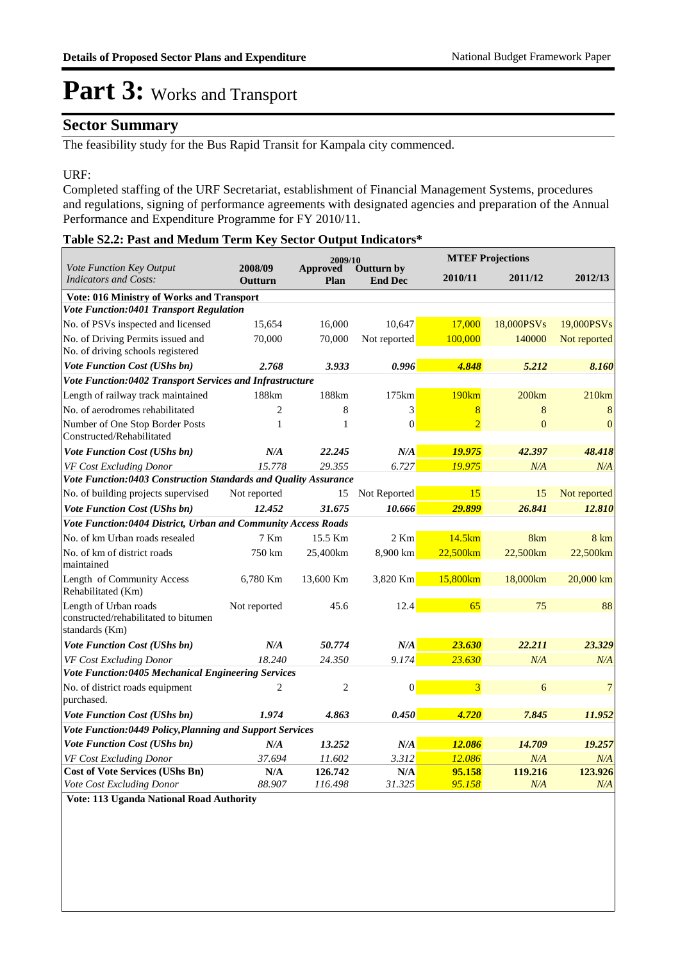#### **Sector Summary**

The feasibility study for the Bus Rapid Transit for Kampala city commenced.

#### URF:

Completed staffing of the URF Secretariat, establishment of Financial Management Systems, procedures and regulations, signing of performance agreements with designated agencies and preparation of the Annual Performance and Expenditure Programme for FY 2010/11.

#### **Table S2.2: Past and Medum Term Key Sector Output Indicators\***

|                                                                                 |                    | 2009/10                                          |                  |                | <b>MTEF Projections</b> |              |  |  |
|---------------------------------------------------------------------------------|--------------------|--------------------------------------------------|------------------|----------------|-------------------------|--------------|--|--|
| Vote Function Key Output<br>Indicators and Costs:                               | 2008/09<br>Outturn | Approved<br>Outturn by<br>Plan<br><b>End Dec</b> |                  | 2010/11        | 2011/12                 | 2012/13      |  |  |
| Vote: 016 Ministry of Works and Transport                                       |                    |                                                  |                  |                |                         |              |  |  |
| Vote Function:0401 Transport Regulation                                         |                    |                                                  |                  |                |                         |              |  |  |
| No. of PSVs inspected and licensed                                              | 15,654             | 16,000                                           | 10,647           | 17,000         | 18,000PSVs              | 19,000PSVs   |  |  |
| No. of Driving Permits issued and<br>No. of driving schools registered          | 70,000             | 70,000                                           | Not reported     | 100,000        | 140000                  | Not reported |  |  |
| <b>Vote Function Cost (UShs bn)</b>                                             | 2.768              | 3.933                                            | 0.996            | 4.848          | 5.212                   | 8.160        |  |  |
| Vote Function:0402 Transport Services and Infrastructure                        |                    |                                                  |                  |                |                         |              |  |  |
| Length of railway track maintained                                              | 188km              | 188km                                            | 175km            | 190km          | 200km                   | 210km        |  |  |
| No. of aerodromes rehabilitated                                                 | $\overline{c}$     | 8                                                | 3                | 8              | 8                       | 8            |  |  |
| Number of One Stop Border Posts<br>Constructed/Rehabilitated                    | 1                  | 1                                                | $\overline{0}$   | $\overline{2}$ | $\overline{0}$          | $\theta$     |  |  |
| <b>Vote Function Cost (UShs bn)</b>                                             | N/A                | 22.245                                           | N/A              | 19.975         | 42.397                  | 48.418       |  |  |
| VF Cost Excluding Donor                                                         | 15.778             | 29.355                                           | 6.727            | 19.975         | N/A                     | N/A          |  |  |
| Vote Function:0403 Construction Standards and Quality Assurance                 |                    |                                                  |                  |                |                         |              |  |  |
| No. of building projects supervised                                             | Not reported       | 15                                               | Not Reported     | 15             | 15                      | Not reported |  |  |
| <b>Vote Function Cost (UShs bn)</b>                                             | 12.452             | 31.675                                           | 10.666           | 29.899         | 26.841                  | 12.810       |  |  |
| Vote Function:0404 District, Urban and Community Access Roads                   |                    |                                                  |                  |                |                         |              |  |  |
| No. of km Urban roads resealed                                                  | 7 Km               | 15.5 Km                                          | 2 Km             | 14.5km         | 8km                     | 8 km         |  |  |
| No. of km of district roads<br>maintained                                       | 750 km             | 25,400km                                         | 8,900 km         | 22,500km       | 22,500km                | 22,500km     |  |  |
| Length of Community Access<br>Rehabilitated (Km)                                | 6,780 Km           | 13,600 Km                                        | 3,820 Km         | 15,800km       | 18,000km                | 20,000 km    |  |  |
| Length of Urban roads<br>constructed/rehabilitated to bitumen<br>standards (Km) | Not reported       | 45.6                                             | 12.4             | 65             | 75                      | 88           |  |  |
| <b>Vote Function Cost (UShs bn)</b>                                             | N/A                | 50.774                                           | N/A              | 23.630         | 22.211                  | 23.329       |  |  |
| VF Cost Excluding Donor                                                         | 18.240             | 24.350                                           | 9.174            | 23.630         | N/A                     | N/A          |  |  |
| Vote Function:0405 Mechanical Engineering Services                              |                    |                                                  |                  |                |                         |              |  |  |
| No. of district roads equipment<br>purchased.                                   | 2                  | $\overline{c}$                                   | $\boldsymbol{0}$ | 3              | 6                       | 7            |  |  |
| <b>Vote Function Cost (UShs bn)</b>                                             | 1.974              | 4.863                                            | 0.450            | 4.720          | 7.845                   | 11.952       |  |  |
| Vote Function:0449 Policy, Planning and Support Services                        |                    |                                                  |                  |                |                         |              |  |  |
| <b>Vote Function Cost (UShs bn)</b>                                             | N/A                | 13.252                                           | N/A              | 12.086         | 14.709                  | 19.257       |  |  |
| VF Cost Excluding Donor                                                         | 37.694             | 11.602                                           | 3.312            | 12.086         | N/A                     | N/A          |  |  |
| <b>Cost of Vote Services (UShs Bn)</b>                                          | N/A                | 126.742                                          | N/A              | 95.158         | 119.216                 | 123.926      |  |  |
| Vote Cost Excluding Donor                                                       | 88.907             | 116.498                                          | 31.325           | 95.158         | N/A                     | N/A          |  |  |

**Vote: 113 Uganda National Road Authority**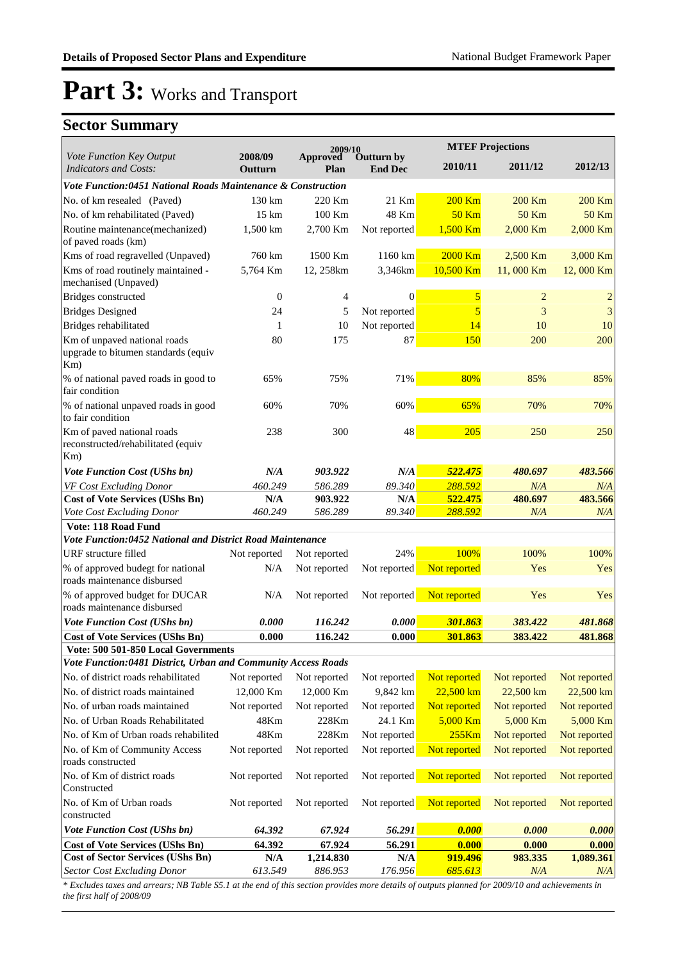### **Sector Summary**

|                                                                                |                    | 2009/10              |                              | <b>MTEF Projections</b> |                |                  |
|--------------------------------------------------------------------------------|--------------------|----------------------|------------------------------|-------------------------|----------------|------------------|
| Vote Function Key Output<br><b>Indicators and Costs:</b>                       | 2008/09<br>Outturn | Approved<br>Plan     | Outturn by<br><b>End Dec</b> | 2010/11                 | 2011/12        | 2012/13          |
| Vote Function:0451 National Roads Maintenance & Construction                   |                    |                      |                              |                         |                |                  |
| No. of km resealed (Paved)                                                     | $130 \mathrm{km}$  | 220 Km               | 21 Km                        | 200 Km                  | 200 Km         | 200 Km           |
| No. of km rehabilitated (Paved)                                                | 15 km              | 100 Km               | 48 Km                        | $50$ Km                 | <b>50 Km</b>   | <b>50 Km</b>     |
| Routine maintenance(mechanized)<br>of paved roads (km)                         | 1,500 km           | 2,700 Km             | Not reported                 | 1,500 Km                | 2,000 Km       | 2,000 Km         |
| Kms of road regravelled (Unpaved)                                              | 760 km             | 1500 Km              | 1160 km                      | 2000 Km                 | 2,500 Km       | 3,000 Km         |
| Kms of road routinely maintained -<br>mechanised (Unpaved)                     | 5,764 Km           | 12, 258km            | 3,346km                      | 10,500 Km               | 11,000 Km      | 12,000 Km        |
| Bridges constructed                                                            | $\mathbf{0}$       | 4                    | $\theta$                     | 5                       | $\overline{2}$ | $\overline{c}$   |
| <b>Bridges Designed</b>                                                        | 24                 | 5                    | Not reported                 | $\overline{5}$          | 3              | 3                |
| Bridges rehabilitated                                                          | 1                  | 10                   | Not reported                 | 14                      | 10             | 10               |
| Km of unpaved national roads<br>upgrade to bitumen standards (equiv<br>Km)     | 80                 | 175                  | 87                           | <b>150</b>              | 200            | 200              |
| % of national paved roads in good to<br>fair condition                         | 65%                | 75%                  | 71%                          | 80%                     | 85%            | 85%              |
| % of national unpaved roads in good<br>to fair condition                       | 60%                | 70%                  | 60%                          | 65%                     | 70%            | 70%              |
| Km of paved national roads<br>reconstructed/rehabilitated (equiv<br>$Km$ )     | 238                | 300                  | 48                           | 205                     | 250            | 250              |
| <b>Vote Function Cost (UShs bn)</b>                                            | N/A                | 903.922              | N/A                          | 522.475                 | 480.697        | 483.566          |
| VF Cost Excluding Donor                                                        | 460.249            | 586.289              | 89.340                       | 288.592                 | N/A            | N/A              |
| <b>Cost of Vote Services (UShs Bn)</b>                                         | N/A                | 903.922              | N/A                          | 522.475                 | 480.697        | 483.566          |
| Vote Cost Excluding Donor                                                      | 460.249            | 586.289              | 89.340                       | 288.592                 | N/A            | N/A              |
| <b>Vote: 118 Road Fund</b>                                                     |                    |                      |                              |                         |                |                  |
| Vote Function:0452 National and District Road Maintenance                      |                    |                      |                              |                         |                |                  |
| URF structure filled                                                           | Not reported       | Not reported         | 24%                          | 100%                    | 100%           | 100%             |
| % of approved budegt for national<br>roads maintenance disbursed               | N/A                | Not reported         | Not reported                 | Not reported            | Yes            | Yes              |
| % of approved budget for DUCAR<br>roads maintenance disbursed                  | N/A                | Not reported         | Not reported                 | Not reported            | Yes            | Yes              |
| <b>Vote Function Cost (UShs bn)</b>                                            | 0.000              | 116.242              | 0.000                        | 301.863                 | 383.422        | 481.868          |
| <b>Cost of Vote Services (UShs Bn)</b>                                         | 0.000              | 116.242              | 0.000                        | 301.863                 | 383.422        | 481.868          |
| Vote: 500 501-850 Local Governments                                            |                    |                      |                              |                         |                |                  |
| Vote Function:0481 District, Urban and Community Access Roads                  |                    |                      |                              |                         |                |                  |
| No. of district roads rehabilitated                                            | Not reported       | Not reported         | Not reported                 | Not reported            | Not reported   | Not reported     |
| No. of district roads maintained                                               | 12,000 Km          | 12,000 Km            | 9,842 km                     | $22,500$ km             | 22,500 km      | 22,500 km        |
| No. of urban roads maintained                                                  | Not reported       | Not reported         | Not reported                 | Not reported            | Not reported   | Not reported     |
| No. of Urban Roads Rehabilitated                                               | 48Km               | 228Km                | 24.1 Km                      | 5,000 Km                | 5,000 Km       | 5,000 Km         |
| No. of Km of Urban roads rehabilited                                           | 48Km               | 228Km                | Not reported                 | 255Km                   | Not reported   | Not reported     |
| No. of Km of Community Access<br>roads constructed                             | Not reported       | Not reported         | Not reported                 | Not reported            | Not reported   | Not reported     |
| No. of Km of district roads<br>Constructed                                     | Not reported       | Not reported         | Not reported                 | Not reported            | Not reported   | Not reported     |
| No. of Km of Urban roads<br>constructed                                        | Not reported       | Not reported         | Not reported                 | Not reported            | Not reported   | Not reported     |
| Vote Function Cost (UShs bn)                                                   | 64.392             | 67.924               | 56.291                       | 0.000                   | 0.000          | 0.000            |
| <b>Cost of Vote Services (UShs Bn)</b>                                         | 64.392             | 67.924               | 56.291                       | 0.000                   | 0.000          | 0.000            |
| <b>Cost of Sector Services (UShs Bn)</b><br><b>Sector Cost Excluding Donor</b> | N/A<br>613.549     | 1,214.830<br>886.953 | N/A<br>176.956               | 919.496<br>685.613      | 983.335<br>N/A | 1,089.361<br>N/A |

*\* Excludes taxes and arrears; NB Table S5.1 at the end of this section provides more details of outputs planned for 2009/10 and achievements in the first half of 2008/09*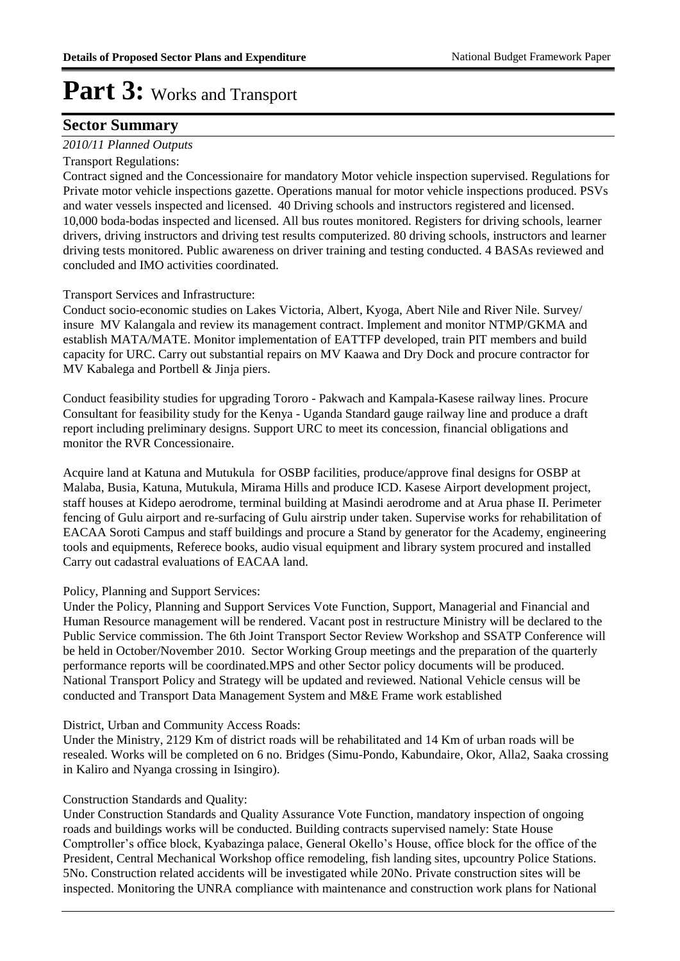#### **Sector Summary**

#### *2010/11 Planned Outputs*

#### Transport Regulations:

Contract signed and the Concessionaire for mandatory Motor vehicle inspection supervised. Regulations for Private motor vehicle inspections gazette. Operations manual for motor vehicle inspections produced. PSVs and water vessels inspected and licensed. 40 Driving schools and instructors registered and licensed. 10,000 boda-bodas inspected and licensed. All bus routes monitored. Registers for driving schools, learner drivers, driving instructors and driving test results computerized. 80 driving schools, instructors and learner driving tests monitored. Public awareness on driver training and testing conducted. 4 BASAs reviewed and concluded and IMO activities coordinated.

Transport Services and Infrastructure:

Conduct socio-economic studies on Lakes Victoria, Albert, Kyoga, Abert Nile and River Nile. Survey/ insure MV Kalangala and review its management contract. Implement and monitor NTMP/GKMA and establish MATA/MATE. Monitor implementation of EATTFP developed, train PIT members and build capacity for URC. Carry out substantial repairs on MV Kaawa and Dry Dock and procure contractor for MV Kabalega and Portbell & Jinja piers.

Conduct feasibility studies for upgrading Tororo - Pakwach and Kampala-Kasese railway lines. Procure Consultant for feasibility study for the Kenya - Uganda Standard gauge railway line and produce a draft report including preliminary designs. Support URC to meet its concession, financial obligations and monitor the RVR Concessionaire.

Acquire land at Katuna and Mutukula for OSBP facilities, produce/approve final designs for OSBP at Malaba, Busia, Katuna, Mutukula, Mirama Hills and produce ICD. Kasese Airport development project, staff houses at Kidepo aerodrome, terminal building at Masindi aerodrome and at Arua phase II. Perimeter fencing of Gulu airport and re-surfacing of Gulu airstrip under taken. Supervise works for rehabilitation of EACAA Soroti Campus and staff buildings and procure a Stand by generator for the Academy, engineering tools and equipments, Referece books, audio visual equipment and library system procured and installed Carry out cadastral evaluations of EACAA land.

Policy, Planning and Support Services:

Under the Policy, Planning and Support Services Vote Function, Support, Managerial and Financial and Human Resource management will be rendered. Vacant post in restructure Ministry will be declared to the Public Service commission. The 6th Joint Transport Sector Review Workshop and SSATP Conference will be held in October/November 2010. Sector Working Group meetings and the preparation of the quarterly performance reports will be coordinated.MPS and other Sector policy documents will be produced. National Transport Policy and Strategy will be updated and reviewed. National Vehicle census will be conducted and Transport Data Management System and M&E Frame work established

#### District, Urban and Community Access Roads:

Under the Ministry, 2129 Km of district roads will be rehabilitated and 14 Km of urban roads will be resealed. Works will be completed on 6 no. Bridges (Simu-Pondo, Kabundaire, Okor, Alla2, Saaka crossing in Kaliro and Nyanga crossing in Isingiro).

#### Construction Standards and Quality:

Under Construction Standards and Quality Assurance Vote Function, mandatory inspection of ongoing roads and buildings works will be conducted. Building contracts supervised namely: State House Comptroller's office block, Kyabazinga palace, General Okello's House, office block for the office of the President, Central Mechanical Workshop office remodeling, fish landing sites, upcountry Police Stations. 5No. Construction related accidents will be investigated while 20No. Private construction sites will be inspected. Monitoring the UNRA compliance with maintenance and construction work plans for National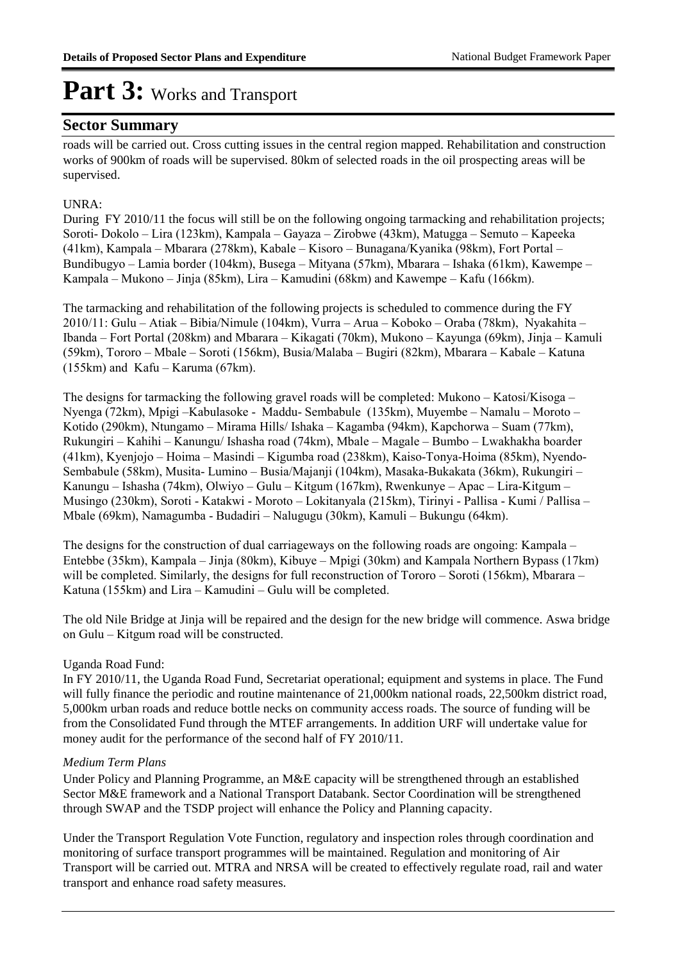#### **Sector Summary**

roads will be carried out. Cross cutting issues in the central region mapped. Rehabilitation and construction works of 900km of roads will be supervised. 80km of selected roads in the oil prospecting areas will be supervised.

#### UNRA:

During FY 2010/11 the focus will still be on the following ongoing tarmacking and rehabilitation projects; Soroti- Dokolo – Lira (123km), Kampala – Gayaza – Zirobwe (43km), Matugga – Semuto – Kapeeka (41km), Kampala – Mbarara (278km), Kabale – Kisoro – Bunagana/Kyanika (98km), Fort Portal – Bundibugyo – Lamia border (104km), Busega – Mityana (57km), Mbarara – Ishaka (61km), Kawempe – Kampala – Mukono – Jinja (85km), Lira – Kamudini (68km) and Kawempe – Kafu (166km).

The tarmacking and rehabilitation of the following projects is scheduled to commence during the FY 2010/11: Gulu – Atiak – Bibia/Nimule (104km), Vurra – Arua – Koboko – Oraba (78km), Nyakahita – Ibanda – Fort Portal (208km) and Mbarara – Kikagati (70km), Mukono – Kayunga (69km), Jinja – Kamuli (59km), Tororo – Mbale – Soroti (156km), Busia/Malaba – Bugiri (82km), Mbarara – Kabale – Katuna  $(155km)$  and Kafu – Karuma  $(67km)$ .

The designs for tarmacking the following gravel roads will be completed: Mukono – Katosi/Kisoga – Nyenga (72km), Mpigi –Kabulasoke - Maddu- Sembabule (135km), Muyembe – Namalu – Moroto – Kotido (290km), Ntungamo – Mirama Hills/ Ishaka – Kagamba (94km), Kapchorwa – Suam (77km), Rukungiri – Kahihi – Kanungu/ Ishasha road (74km), Mbale – Magale – Bumbo – Lwakhakha boarder (41km), Kyenjojo – Hoima – Masindi – Kigumba road (238km), Kaiso-Tonya-Hoima (85km), Nyendo-Sembabule (58km), Musita- Lumino – Busia/Majanji (104km), Masaka-Bukakata (36km), Rukungiri – Kanungu – Ishasha (74km), Olwiyo – Gulu – Kitgum (167km), Rwenkunye – Apac – Lira-Kitgum – Musingo (230km), Soroti - Katakwi - Moroto – Lokitanyala (215km), Tirinyi - Pallisa - Kumi / Pallisa – Mbale (69km), Namagumba - Budadiri – Nalugugu (30km), Kamuli – Bukungu (64km).

The designs for the construction of dual carriageways on the following roads are ongoing: Kampala – Entebbe (35km), Kampala – Jinja (80km), Kibuye – Mpigi (30km) and Kampala Northern Bypass (17km) will be completed. Similarly, the designs for full reconstruction of Tororo – Soroti (156km), Mbarara – Katuna (155km) and Lira – Kamudini – Gulu will be completed.

The old Nile Bridge at Jinja will be repaired and the design for the new bridge will commence. Aswa bridge on Gulu – Kitgum road will be constructed.

#### Uganda Road Fund:

In FY 2010/11, the Uganda Road Fund, Secretariat operational; equipment and systems in place. The Fund will fully finance the periodic and routine maintenance of 21,000km national roads, 22,500km district road, 5,000km urban roads and reduce bottle necks on community access roads. The source of funding will be from the Consolidated Fund through the MTEF arrangements. In addition URF will undertake value for money audit for the performance of the second half of FY 2010/11.

#### *Medium Term Plans*

Under Policy and Planning Programme, an M&E capacity will be strengthened through an established Sector M&E framework and a National Transport Databank. Sector Coordination will be strengthened through SWAP and the TSDP project will enhance the Policy and Planning capacity.

Under the Transport Regulation Vote Function, regulatory and inspection roles through coordination and monitoring of surface transport programmes will be maintained. Regulation and monitoring of Air Transport will be carried out. MTRA and NRSA will be created to effectively regulate road, rail and water transport and enhance road safety measures.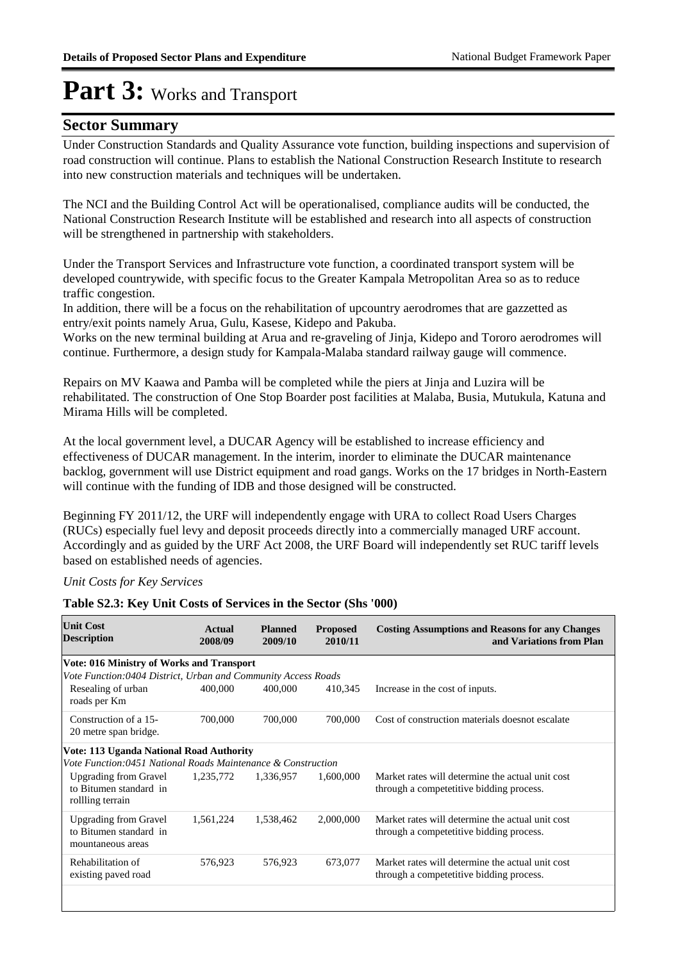#### **Sector Summary**

Under Construction Standards and Quality Assurance vote function, building inspections and supervision of road construction will continue. Plans to establish the National Construction Research Institute to research into new construction materials and techniques will be undertaken.

The NCI and the Building Control Act will be operationalised, compliance audits will be conducted, the National Construction Research Institute will be established and research into all aspects of construction will be strengthened in partnership with stakeholders.

Under the Transport Services and Infrastructure vote function, a coordinated transport system will be developed countrywide, with specific focus to the Greater Kampala Metropolitan Area so as to reduce traffic congestion.

In addition, there will be a focus on the rehabilitation of upcountry aerodromes that are gazzetted as entry/exit points namely Arua, Gulu, Kasese, Kidepo and Pakuba.

Works on the new terminal building at Arua and re-graveling of Jinja, Kidepo and Tororo aerodromes will continue. Furthermore, a design study for Kampala-Malaba standard railway gauge will commence.

Repairs on MV Kaawa and Pamba will be completed while the piers at Jinja and Luzira will be rehabilitated. The construction of One Stop Boarder post facilities at Malaba, Busia, Mutukula, Katuna and Mirama Hills will be completed.

At the local government level, a DUCAR Agency will be established to increase efficiency and effectiveness of DUCAR management. In the interim, inorder to eliminate the DUCAR maintenance backlog, government will use District equipment and road gangs. Works on the 17 bridges in North-Eastern will continue with the funding of IDB and those designed will be constructed.

Beginning FY 2011/12, the URF will independently engage with URA to collect Road Users Charges (RUCs) especially fuel levy and deposit proceeds directly into a commercially managed URF account. Accordingly and as guided by the URF Act 2008, the URF Board will independently set RUC tariff levels based on established needs of agencies.

#### *Unit Costs for Key Services*

#### **Table S2.3: Key Unit Costs of Services in the Sector (Shs '000)**

| <b>Unit Cost</b><br><b>Description</b>                                      | Actual<br>2008/09 | <b>Planned</b><br>2009/10 | <b>Proposed</b><br>2010/11 | <b>Costing Assumptions and Reasons for any Changes</b><br>and Variations from Plan           |
|-----------------------------------------------------------------------------|-------------------|---------------------------|----------------------------|----------------------------------------------------------------------------------------------|
| <b>Vote: 016 Ministry of Works and Transport</b>                            |                   |                           |                            |                                                                                              |
| Vote Function:0404 District, Urban and Community Access Roads               |                   |                           |                            |                                                                                              |
| Resealing of urban<br>roads per Km                                          | 400,000           | 400,000                   | 410,345                    | Increase in the cost of inputs.                                                              |
| Construction of a 15-<br>20 metre span bridge.                              | 700,000           | 700,000                   | 700,000                    | Cost of construction materials doesnot escalate                                              |
| <b>Vote: 113 Uganda National Road Authority</b>                             |                   |                           |                            |                                                                                              |
| Vote Function:0451 National Roads Maintenance & Construction                |                   |                           |                            |                                                                                              |
| <b>Upgrading from Gravel</b><br>to Bitumen standard in<br>rollling terrain  | 1,235,772         | 1,336,957                 | 1,600,000                  | Market rates will determine the actual unit cost<br>through a competetitive bidding process. |
| <b>Upgrading from Gravel</b><br>to Bitumen standard in<br>mountaneous areas | 1,561,224         | 1,538,462                 | 2,000,000                  | Market rates will determine the actual unit cost<br>through a competetitive bidding process. |
| Rehabilitation of<br>existing paved road                                    | 576,923           | 576,923                   | 673,077                    | Market rates will determine the actual unit cost<br>through a competetitive bidding process. |
|                                                                             |                   |                           |                            |                                                                                              |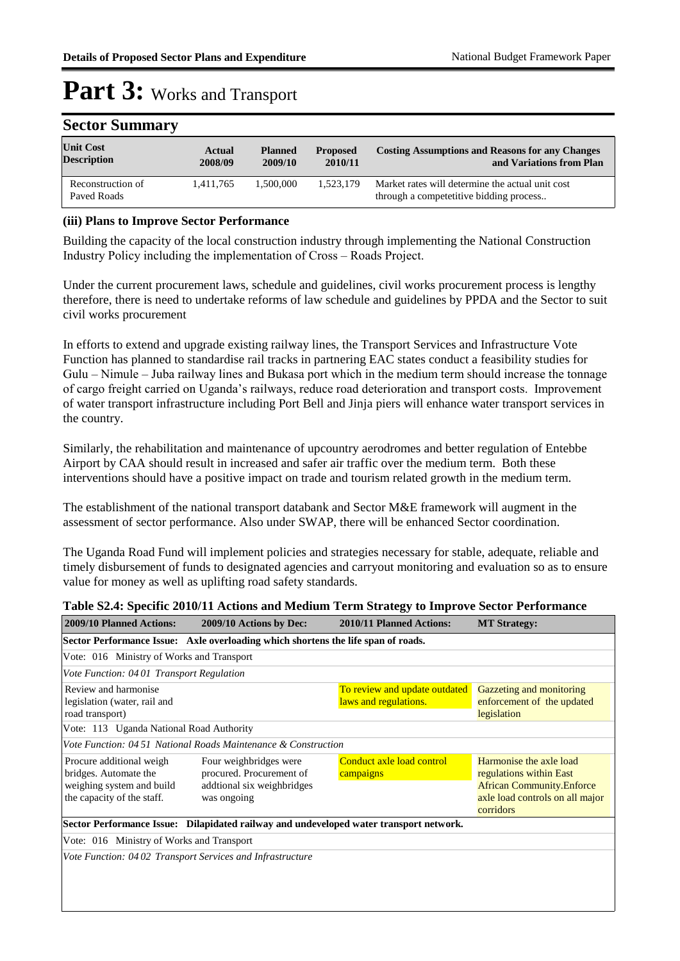| Sector Summary                         |                          |                           |                            |                                                                                             |  |  |
|----------------------------------------|--------------------------|---------------------------|----------------------------|---------------------------------------------------------------------------------------------|--|--|
| <b>Unit Cost</b><br><b>Description</b> | <b>Actual</b><br>2008/09 | <b>Planned</b><br>2009/10 | <b>Proposed</b><br>2010/11 | <b>Costing Assumptions and Reasons for any Changes</b><br>and Variations from Plan          |  |  |
| Reconstruction of<br>Paved Roads       | 1,411,765                | 1.500.000                 | 1.523.179                  | Market rates will determine the actual unit cost<br>through a competetitive bidding process |  |  |

### **Sector Summary**

#### **(iii) Plans to Improve Sector Performance**

Building the capacity of the local construction industry through implementing the National Construction Industry Policy including the implementation of Cross – Roads Project.

Under the current procurement laws, schedule and guidelines, civil works procurement process is lengthy therefore, there is need to undertake reforms of law schedule and guidelines by PPDA and the Sector to suit civil works procurement

In efforts to extend and upgrade existing railway lines, the Transport Services and Infrastructure Vote Function has planned to standardise rail tracks in partnering EAC states conduct a feasibility studies for Gulu – Nimule – Juba railway lines and Bukasa port which in the medium term should increase the tonnage of cargo freight carried on Uganda's railways, reduce road deterioration and transport costs. Improvement of water transport infrastructure including Port Bell and Jinja piers will enhance water transport services in the country.

Similarly, the rehabilitation and maintenance of upcountry aerodromes and better regulation of Entebbe Airport by CAA should result in increased and safer air traffic over the medium term. Both these interventions should have a positive impact on trade and tourism related growth in the medium term.

The establishment of the national transport databank and Sector M&E framework will augment in the assessment of sector performance. Also under SWAP, there will be enhanced Sector coordination.

The Uganda Road Fund will implement policies and strategies necessary for stable, adequate, reliable and timely disbursement of funds to designated agencies and carryout monitoring and evaluation so as to ensure value for money as well as uplifting road safety standards.

#### **Table S2.4: Specific 2010/11 Actions and Medium Term Strategy to Improve Sector Performance**

| 2009/10 Planned Actions:                                                                                     | 2009/10 Actions by Dec:                                                                         | 2010/11 Planned Actions:                               | <b>MT Strategy:</b>                                                                                                                    |  |  |  |  |
|--------------------------------------------------------------------------------------------------------------|-------------------------------------------------------------------------------------------------|--------------------------------------------------------|----------------------------------------------------------------------------------------------------------------------------------------|--|--|--|--|
|                                                                                                              | Sector Performance Issue: Axle overloading which shortens the life span of roads.               |                                                        |                                                                                                                                        |  |  |  |  |
|                                                                                                              | Vote: 016 Ministry of Works and Transport                                                       |                                                        |                                                                                                                                        |  |  |  |  |
| Vote Function: 0401 Transport Regulation                                                                     |                                                                                                 |                                                        |                                                                                                                                        |  |  |  |  |
| Review and harmonise<br>legislation (water, rail and<br>road transport)                                      |                                                                                                 | To review and update outdated<br>laws and regulations. | Gazzeting and monitoring<br>enforcement of the updated<br>legislation                                                                  |  |  |  |  |
| Vote: 113 Uganda National Road Authority                                                                     |                                                                                                 |                                                        |                                                                                                                                        |  |  |  |  |
|                                                                                                              | Vote Function: 04 51 National Roads Maintenance & Construction                                  |                                                        |                                                                                                                                        |  |  |  |  |
| Procure additional weigh<br>bridges. Automate the<br>weighing system and build<br>the capacity of the staff. | Four weighbridges were<br>procured. Procurement of<br>addtional six weighbridges<br>was ongoing | Conduct axle load control<br>campaigns                 | Harmonise the axle load<br>regulations within East<br><b>African Community.Enforce</b><br>axle load controls on all major<br>corridors |  |  |  |  |
|                                                                                                              | Sector Performance Issue: Dilapidated railway and undeveloped water transport network.          |                                                        |                                                                                                                                        |  |  |  |  |
| Vote: 016 Ministry of Works and Transport                                                                    |                                                                                                 |                                                        |                                                                                                                                        |  |  |  |  |
|                                                                                                              | Vote Function: 0402 Transport Services and Infrastructure                                       |                                                        |                                                                                                                                        |  |  |  |  |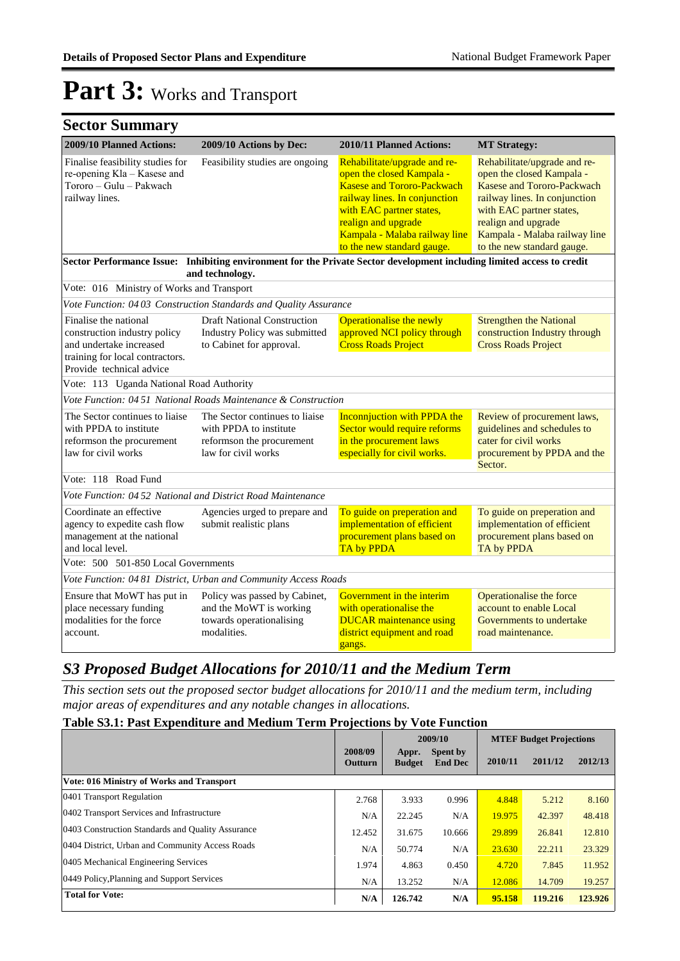### **Sector Summary**

| 2009/10 Planned Actions:                                                                                            | 2009/10 Actions by Dec:                                                                                                                   | 2010/11 Planned Actions:                                                                                                                                                                                                                          | <b>MT Strategy:</b>                                                                                                                                                                                                                        |
|---------------------------------------------------------------------------------------------------------------------|-------------------------------------------------------------------------------------------------------------------------------------------|---------------------------------------------------------------------------------------------------------------------------------------------------------------------------------------------------------------------------------------------------|--------------------------------------------------------------------------------------------------------------------------------------------------------------------------------------------------------------------------------------------|
| Finalise feasibility studies for<br>re-opening Kla - Kasese and<br>Tororo - Gulu - Pakwach<br>railway lines.        | Feasibility studies are ongoing                                                                                                           | Rehabilitate/upgrade and re-<br>open the closed Kampala -<br><b>Kasese and Tororo-Packwach</b><br>railway lines. In conjunction<br>with EAC partner states,<br>realign and upgrade<br>Kampala - Malaba railway line<br>to the new standard gauge. | Rehabilitate/upgrade and re-<br>open the closed Kampala -<br>Kasese and Tororo-Packwach<br>railway lines. In conjunction<br>with EAC partner states,<br>realign and upgrade<br>Kampala - Malaba railway line<br>to the new standard gauge. |
|                                                                                                                     | Sector Performance Issue: Inhibiting environment for the Private Sector development including limited access to credit<br>and technology. |                                                                                                                                                                                                                                                   |                                                                                                                                                                                                                                            |
| Vote: 016 Ministry of Works and Transport                                                                           |                                                                                                                                           |                                                                                                                                                                                                                                                   |                                                                                                                                                                                                                                            |
|                                                                                                                     | Vote Function: 0403 Construction Standards and Quality Assurance                                                                          |                                                                                                                                                                                                                                                   |                                                                                                                                                                                                                                            |
| Finalise the national<br>construction industry policy<br>and undertake increased<br>training for local contractors. | <b>Draft National Construction</b><br>Industry Policy was submitted<br>to Cabinet for approval.                                           | Operationalise the newly<br>approved NCI policy through<br><b>Cross Roads Project</b>                                                                                                                                                             | <b>Strengthen the National</b><br>construction Industry through<br><b>Cross Roads Project</b>                                                                                                                                              |
| Provide technical advice                                                                                            |                                                                                                                                           |                                                                                                                                                                                                                                                   |                                                                                                                                                                                                                                            |
| Vote: 113 Uganda National Road Authority                                                                            |                                                                                                                                           |                                                                                                                                                                                                                                                   |                                                                                                                                                                                                                                            |
|                                                                                                                     | Vote Function: 04 51 National Roads Maintenance & Construction                                                                            |                                                                                                                                                                                                                                                   |                                                                                                                                                                                                                                            |
| The Sector continues to liaise<br>with PPDA to institute<br>reformson the procurement<br>law for civil works        | The Sector continues to liaise<br>with PPDA to institute<br>reformson the procurement<br>law for civil works                              | <b>Inconnjuction with PPDA the</b><br>Sector would require reforms<br>in the procurement laws<br>especially for civil works.                                                                                                                      | Review of procurement laws,<br>guidelines and schedules to<br>cater for civil works<br>procurement by PPDA and the<br>Sector.                                                                                                              |
| Vote: 118 Road Fund                                                                                                 |                                                                                                                                           |                                                                                                                                                                                                                                                   |                                                                                                                                                                                                                                            |
| Vote Function: 04 52 National and District Road Maintenance                                                         |                                                                                                                                           |                                                                                                                                                                                                                                                   |                                                                                                                                                                                                                                            |
| Coordinate an effective<br>agency to expedite cash flow<br>management at the national<br>and local level.           | Agencies urged to prepare and<br>submit realistic plans                                                                                   | To guide on preperation and<br>implementation of efficient<br>procurement plans based on<br>TA by PPDA                                                                                                                                            | To guide on preperation and<br>implementation of efficient<br>procurement plans based on<br>TA by PPDA                                                                                                                                     |
| Vote: 500 501-850 Local Governments                                                                                 |                                                                                                                                           |                                                                                                                                                                                                                                                   |                                                                                                                                                                                                                                            |
|                                                                                                                     | Vote Function: 0481 District, Urban and Community Access Roads                                                                            |                                                                                                                                                                                                                                                   |                                                                                                                                                                                                                                            |
| Ensure that MoWT has put in<br>place necessary funding<br>modalities for the force<br>account.                      | Policy was passed by Cabinet,<br>and the MoWT is working<br>towards operationalising<br>modalities.                                       | Government in the interim<br>with operationalise the<br><b>DUCAR</b> maintenance using<br>district equipment and road<br>gangs.                                                                                                                   | Operationalise the force<br>account to enable Local<br>Governments to undertake<br>road maintenance.                                                                                                                                       |

#### *S3 Proposed Budget Allocations for 2010/11 and the Medium Term*

*This section sets out the proposed sector budget allocations for 2010/11 and the medium term, including major areas of expenditures and any notable changes in allocations.* 

#### **Table S3.1: Past Expenditure and Medium Term Projections by Vote Function**

|                                                   |                           |                        | 2009/10                    |         | <b>MTEF Budget Projections</b> |         |
|---------------------------------------------------|---------------------------|------------------------|----------------------------|---------|--------------------------------|---------|
|                                                   | 2008/09<br><b>Outturn</b> | Appr.<br><b>Budget</b> | Spent by<br><b>End Dec</b> | 2010/11 | 2011/12                        | 2012/13 |
| Vote: 016 Ministry of Works and Transport         |                           |                        |                            |         |                                |         |
| 0401 Transport Regulation                         | 2.768                     | 3.933                  | 0.996                      | 4.848   | 5.212                          | 8.160   |
| 0402 Transport Services and Infrastructure        | N/A                       | 22.245                 | N/A                        | 19.975  | 42.397                         | 48.418  |
| 0403 Construction Standards and Quality Assurance | 12.452                    | 31.675                 | 10.666                     | 29.899  | 26.841                         | 12.810  |
| 0404 District, Urban and Community Access Roads   | N/A                       | 50.774                 | N/A                        | 23.630  | 22.211                         | 23.329  |
| 0405 Mechanical Engineering Services              | 1.974                     | 4.863                  | 0.450                      | 4.720   | 7.845                          | 11.952  |
| 0449 Policy, Planning and Support Services        | N/A                       | 13.252                 | N/A                        | 12.086  | 14.709                         | 19.257  |
| <b>Total for Vote:</b>                            | N/A                       | 126.742                | N/A                        | 95.158  | 119.216                        | 123.926 |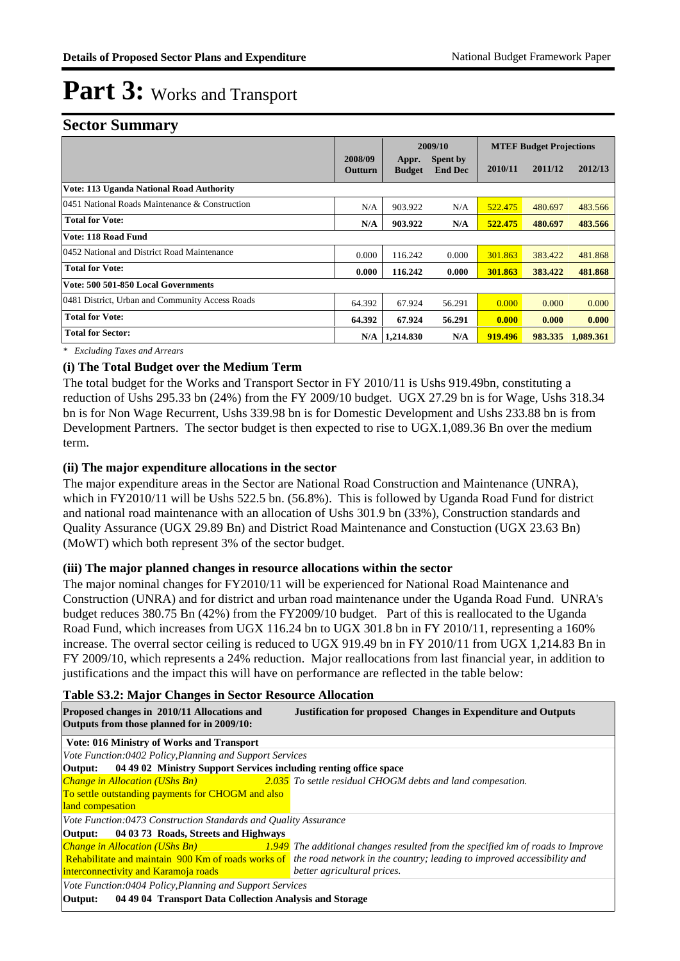#### **Sector Summary**

|                                                 |                    |                        | 2009/10                    | <b>MTEF Budget Projections</b> |         |           |
|-------------------------------------------------|--------------------|------------------------|----------------------------|--------------------------------|---------|-----------|
|                                                 | 2008/09<br>Outturn | Appr.<br><b>Budget</b> | Spent by<br><b>End Dec</b> | 2010/11                        | 2011/12 | 2012/13   |
| <b>Vote: 113 Uganda National Road Authority</b> |                    |                        |                            |                                |         |           |
| 0451 National Roads Maintenance & Construction  | N/A                | 903.922                | N/A                        | 522.475                        | 480.697 | 483.566   |
| <b>Total for Vote:</b>                          | N/A                | 903.922                | N/A                        | 522.475                        | 480.697 | 483.566   |
| <b>Vote: 118 Road Fund</b>                      |                    |                        |                            |                                |         |           |
| 0452 National and District Road Maintenance     | 0.000              | 116.242                | 0.000                      | 301.863                        | 383.422 | 481.868   |
| <b>Total for Vote:</b>                          | 0.000              | 116.242                | 0.000                      | 301.863                        | 383.422 | 481.868   |
| Vote: 500 501-850 Local Governments             |                    |                        |                            |                                |         |           |
| 0481 District, Urban and Community Access Roads | 64.392             | 67.924                 | 56.291                     | 0.000                          | 0.000   | 0.000     |
| <b>Total for Vote:</b>                          | 64.392             | 67.924                 | 56.291                     | 0.000                          | 0.000   | 0.000     |
| <b>Total for Sector:</b>                        | N/A                | 1,214.830              | N/A                        | 919.496                        | 983.335 | 1,089.361 |

*\* Excluding Taxes and Arrears*

#### **(i) The Total Budget over the Medium Term**

The total budget for the Works and Transport Sector in FY 2010/11 is Ushs 919.49bn, constituting a reduction of Ushs 295.33 bn (24%) from the FY 2009/10 budget. UGX 27.29 bn is for Wage, Ushs 318.34 bn is for Non Wage Recurrent, Ushs 339.98 bn is for Domestic Development and Ushs 233.88 bn is from Development Partners. The sector budget is then expected to rise to UGX.1,089.36 Bn over the medium term.

#### **(ii) The major expenditure allocations in the sector**

The major expenditure areas in the Sector are National Road Construction and Maintenance (UNRA), which in FY2010/11 will be Ushs 522.5 bn. (56.8%). This is followed by Uganda Road Fund for district and national road maintenance with an allocation of Ushs 301.9 bn (33%), Construction standards and Quality Assurance (UGX 29.89 Bn) and District Road Maintenance and Constuction (UGX 23.63 Bn) (MoWT) which both represent 3% of the sector budget.

#### **(iii) The major planned changes in resource allocations within the sector**

The major nominal changes for FY2010/11 will be experienced for National Road Maintenance and Construction (UNRA) and for district and urban road maintenance under the Uganda Road Fund. UNRA's budget reduces 380.75 Bn (42%) from the FY2009/10 budget. Part of this is reallocated to the Uganda Road Fund, which increases from UGX 116.24 bn to UGX 301.8 bn in FY 2010/11, representing a 160% increase. The overral sector ceiling is reduced to UGX 919.49 bn in FY 2010/11 from UGX 1,214.83 Bn in FY 2009/10, which represents a 24% reduction. Major reallocations from last financial year, in addition to justifications and the impact this will have on performance are reflected in the table below:

#### **Table S3.2: Major Changes in Sector Resource Allocation**

| Proposed changes in 2010/11 Allocations and<br>Outputs from those planned for in 2009/10: | <b>Justification for proposed Changes in Expenditure and Outputs</b>                                                                  |  |  |  |  |
|-------------------------------------------------------------------------------------------|---------------------------------------------------------------------------------------------------------------------------------------|--|--|--|--|
| Vote: 016 Ministry of Works and Transport                                                 |                                                                                                                                       |  |  |  |  |
| Vote Function:0402 Policy, Planning and Support Services                                  |                                                                                                                                       |  |  |  |  |
| <b>Output:</b> 04 49 02 Ministry Support Services including renting office space          |                                                                                                                                       |  |  |  |  |
|                                                                                           | <b>Change in Allocation (UShs Bn)</b> 2.035 To settle residual CHOGM debts and land compesation.                                      |  |  |  |  |
| To settle outstanding payments for CHOGM and also                                         |                                                                                                                                       |  |  |  |  |
| land compesation                                                                          |                                                                                                                                       |  |  |  |  |
| Vote Function:0473 Construction Standards and Quality Assurance                           |                                                                                                                                       |  |  |  |  |
| Output: 04 03 73 Roads, Streets and Highways                                              |                                                                                                                                       |  |  |  |  |
|                                                                                           | <b>Change in Allocation (UShs Bn)</b> $\qquad \qquad 1.949$ The additional changes resulted from the specified km of roads to Improve |  |  |  |  |
|                                                                                           | Rehabilitate and maintain 900 Km of roads works of the road network in the country; leading to improved accessibility and             |  |  |  |  |
| interconnectivity and Karamoja roads                                                      | better agricultural prices.                                                                                                           |  |  |  |  |
| Vote Function:0404 Policy, Planning and Support Services                                  |                                                                                                                                       |  |  |  |  |
| Output:<br>04 49 04 Transport Data Collection Analysis and Storage                        |                                                                                                                                       |  |  |  |  |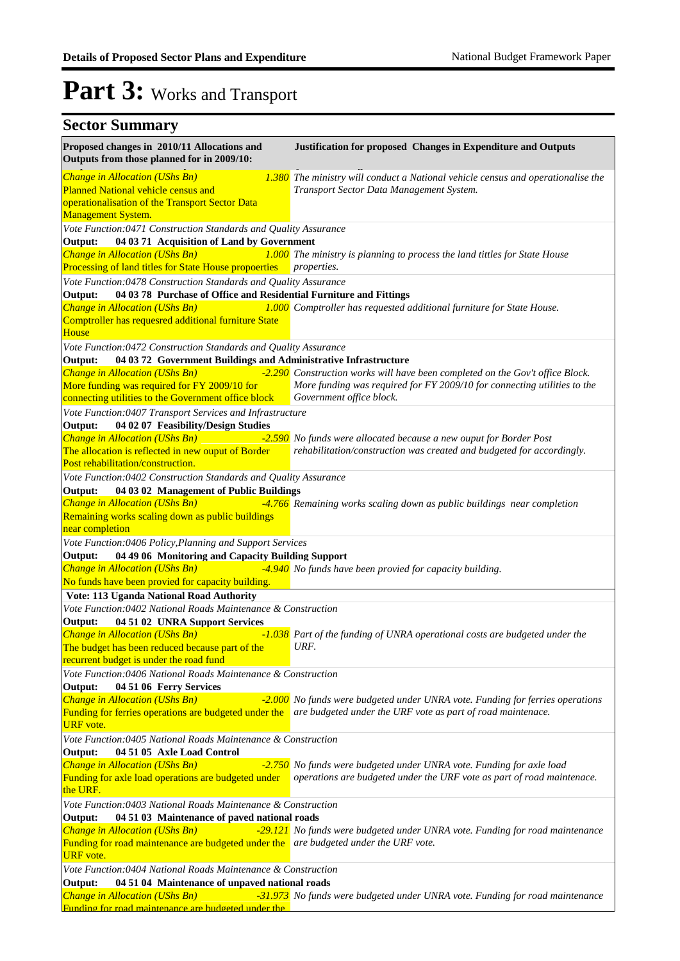| Proposed changes in 2010/11 Allocations and<br>Outputs from those planned for in 2009/10:                                 | Justification for proposed Changes in Expenditure and Outputs                                                                                  |
|---------------------------------------------------------------------------------------------------------------------------|------------------------------------------------------------------------------------------------------------------------------------------------|
| Change in Allocation (UShs Bn)                                                                                            | 1.380 The ministry will conduct a National vehicle census and operationalise the                                                               |
| <b>Planned National vehicle census and</b>                                                                                | Transport Sector Data Management System.                                                                                                       |
| operationalisation of the Transport Sector Data<br>Management System.                                                     |                                                                                                                                                |
| Vote Function:0471 Construction Standards and Quality Assurance                                                           |                                                                                                                                                |
| 04 03 71 Acquisition of Land by Government<br>Output:                                                                     |                                                                                                                                                |
| Change in Allocation (UShs Bn)<br>Processing of land titles for State House propoerties                                   | 1.000 The ministry is planning to process the land tittles for State House<br><i>properties.</i>                                               |
| Vote Function:0478 Construction Standards and Quality Assurance                                                           |                                                                                                                                                |
| 04 03 78 Purchase of Office and Residential Furniture and Fittings<br>Output:                                             |                                                                                                                                                |
| Change in Allocation (UShs Bn)                                                                                            | 1.000 Comptroller has requested additional furniture for State House.                                                                          |
| Comptroller has requesred additional furniture State<br>House                                                             |                                                                                                                                                |
| Vote Function:0472 Construction Standards and Quality Assurance                                                           |                                                                                                                                                |
| 04 03 72 Government Buildings and Administrative Infrastructure<br>Output:                                                |                                                                                                                                                |
| Change in Allocation (UShs Bn)                                                                                            | -2.290 Construction works will have been completed on the Gov't office Block.                                                                  |
| More funding was required for FY 2009/10 for                                                                              | More funding was required for FY 2009/10 for connecting utilities to the                                                                       |
| connecting utilities to the Government office block                                                                       | Government office block.                                                                                                                       |
| Vote Function:0407 Transport Services and Infrastructure                                                                  |                                                                                                                                                |
| Output:<br>04 02 07 Feasibility/Design Studies                                                                            |                                                                                                                                                |
| Change in Allocation (UShs Bn)<br>The allocation is reflected in new ouput of Border                                      | -2.590 No funds were allocated because a new ouput for Border Post<br>rehabilitation/construction was created and budgeted for accordingly.    |
| Post rehabilitation/construction.                                                                                         |                                                                                                                                                |
| Vote Function:0402 Construction Standards and Quality Assurance                                                           |                                                                                                                                                |
| 04 03 02 Management of Public Buildings<br>Output:                                                                        |                                                                                                                                                |
| Change in Allocation (UShs Bn)                                                                                            | -4.766 Remaining works scaling down as public buildings near completion                                                                        |
| Remaining works scaling down as public buildings                                                                          |                                                                                                                                                |
| near completion                                                                                                           |                                                                                                                                                |
| Vote Function:0406 Policy, Planning and Support Services                                                                  |                                                                                                                                                |
| 04 49 06 Monitoring and Capacity Building Support<br>Output:<br>Change in Allocation (UShs Bn)                            | -4.940 No funds have been provied for capacity building.                                                                                       |
| No funds have been provied for capacity building.                                                                         |                                                                                                                                                |
| Vote: 113 Uganda National Road Authority                                                                                  |                                                                                                                                                |
| Vote Function:0402 National Roads Maintenance & Construction                                                              |                                                                                                                                                |
| 04 51 02 UNRA Support Services<br>Output:                                                                                 |                                                                                                                                                |
| Change in Allocation (UShs Bn)                                                                                            | -1.038 Part of the funding of UNRA operational costs are budgeted under the                                                                    |
| The budget has been reduced because part of the                                                                           | URF.                                                                                                                                           |
| recurrent budget is under the road fund<br>Vote Function:0406 National Roads Maintenance & Construction                   |                                                                                                                                                |
| Output:<br>04 51 06 Ferry Services                                                                                        |                                                                                                                                                |
| Change in Allocation (UShs Bn)                                                                                            | -2.000 No funds were budgeted under UNRA vote. Funding for ferries operations                                                                  |
| Funding for ferries operations are budgeted under the                                                                     | are budgeted under the URF vote as part of road maintenace.                                                                                    |
| <b>URF</b> vote.                                                                                                          |                                                                                                                                                |
| Vote Function:0405 National Roads Maintenance & Construction                                                              |                                                                                                                                                |
| 04 51 05 Axle Load Control<br>Output:<br>Change in Allocation (UShs Bn)                                                   |                                                                                                                                                |
| Funding for axle load operations are budgeted under                                                                       | -2.750 No funds were budgeted under UNRA vote. Funding for axle load<br>operations are budgeted under the URF vote as part of road maintenace. |
| the URF.                                                                                                                  |                                                                                                                                                |
| Vote Function: 0403 National Roads Maintenance & Construction                                                             |                                                                                                                                                |
| 04 51 03 Maintenance of paved national roads<br>Output:                                                                   |                                                                                                                                                |
| Change in Allocation (UShs Bn)                                                                                            | -29.121 No funds were budgeted under UNRA vote. Funding for road maintenance                                                                   |
| Funding for road maintenance are budgeted under the are budgeted under the URF vote.                                      |                                                                                                                                                |
| <b>URF</b> vote.                                                                                                          |                                                                                                                                                |
| Vote Function:0404 National Roads Maintenance & Construction<br>04 51 04 Maintenance of unpaved national roads<br>Output: |                                                                                                                                                |
| Change in Allocation (UShs Bn)                                                                                            | -31.973 No funds were budgeted under UNRA vote. Funding for road maintenance                                                                   |
| Funding for road maintenance are budgeted under the                                                                       |                                                                                                                                                |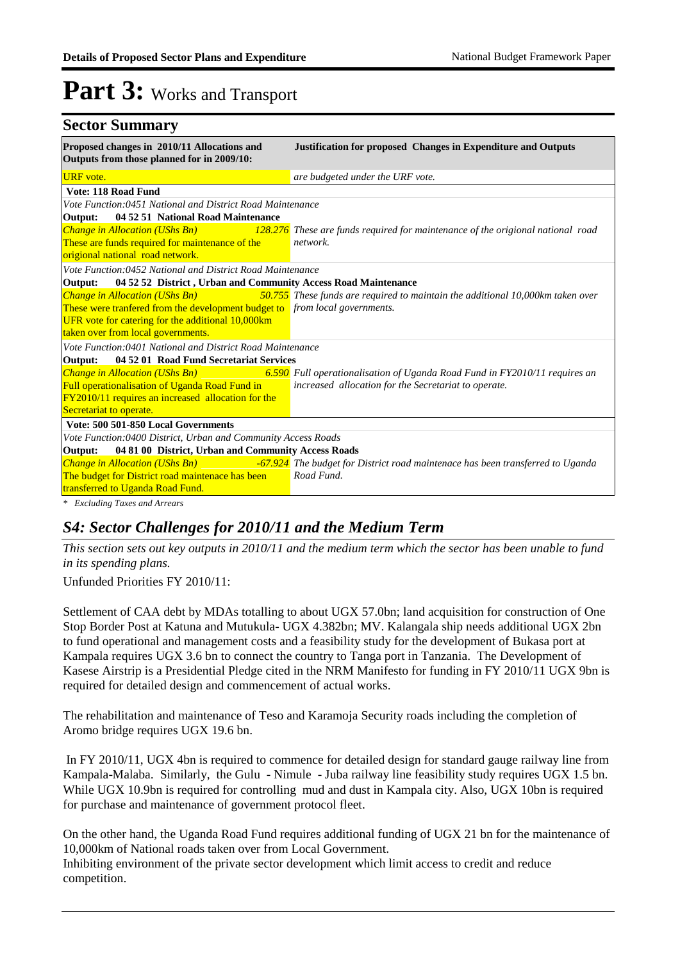| <b>Sector Summary</b>                                                                                                                                          |                                                                                                           |
|----------------------------------------------------------------------------------------------------------------------------------------------------------------|-----------------------------------------------------------------------------------------------------------|
| Proposed changes in 2010/11 Allocations and<br>Outputs from those planned for in 2009/10:                                                                      | Justification for proposed Changes in Expenditure and Outputs                                             |
| <b>URF</b> vote.                                                                                                                                               | are budgeted under the URF vote.                                                                          |
| Vote: 118 Road Fund                                                                                                                                            |                                                                                                           |
| Vote Function:0451 National and District Road Maintenance                                                                                                      |                                                                                                           |
| 04 52 51 National Road Maintenance<br>Output:                                                                                                                  |                                                                                                           |
| <b>Change in Allocation (UShs Bn)</b>                                                                                                                          | 128.276 These are funds required for maintenance of the origional national road                           |
| These are funds required for maintenance of the                                                                                                                | network.                                                                                                  |
| origional national road network.                                                                                                                               |                                                                                                           |
| Vote Function:0452 National and District Road Maintenance                                                                                                      |                                                                                                           |
| 04 52 52 District, Urban and Community Access Road Maintenance<br>Output:                                                                                      |                                                                                                           |
| <b>Change in Allocation (UShs Bn)</b><br><b>Contract Contract Contract Contract Contract Contract Contract Contract Contract Contract Contract Contract Co</b> | 50.755 These funds are required to maintain the additional 10,000km taken over                            |
| These were tranfered from the development budget to from local governments.                                                                                    |                                                                                                           |
| UFR vote for catering for the additional 10,000km                                                                                                              |                                                                                                           |
| taken over from local governments.                                                                                                                             |                                                                                                           |
| Vote Function:0401 National and District Road Maintenance                                                                                                      |                                                                                                           |
| Output:<br>04 52 01 Road Fund Secretariat Services                                                                                                             |                                                                                                           |
|                                                                                                                                                                | Change in Allocation (UShs Bn) 6.590 Full operationalisation of Uganda Road Fund in FY2010/11 requires an |
| Full operationalisation of Uganda Road Fund in                                                                                                                 | increased allocation for the Secretariat to operate.                                                      |
| FY2010/11 requires an increased allocation for the                                                                                                             |                                                                                                           |
| Secretariat to operate.                                                                                                                                        |                                                                                                           |
| Vote: 500 501-850 Local Governments                                                                                                                            |                                                                                                           |
| Vote Function:0400 District, Urban and Community Access Roads                                                                                                  |                                                                                                           |
| 04 81 00 District, Urban and Community Access Roads<br>Output:                                                                                                 |                                                                                                           |
| Change in Allocation (UShs Bn)<br><b>Service Service</b>                                                                                                       | -67.924 The budget for District road maintenace has been transferred to Uganda                            |
| The budget for District road maintenace has been                                                                                                               | Road Fund.                                                                                                |
| transferred to Uganda Road Fund.                                                                                                                               |                                                                                                           |
|                                                                                                                                                                |                                                                                                           |

*\* Excluding Taxes and Arrears*

#### *S4: Sector Challenges for 2010/11 and the Medium Term*

*This section sets out key outputs in 2010/11 and the medium term which the sector has been unable to fund in its spending plans.*

Unfunded Priorities FY 2010/11:

Settlement of CAA debt by MDAs totalling to about UGX 57.0bn; land acquisition for construction of One Stop Border Post at Katuna and Mutukula- UGX 4.382bn; MV. Kalangala ship needs additional UGX 2bn to fund operational and management costs and a feasibility study for the development of Bukasa port at Kampala requires UGX 3.6 bn to connect the country to Tanga port in Tanzania. The Development of Kasese Airstrip is a Presidential Pledge cited in the NRM Manifesto for funding in FY 2010/11 UGX 9bn is required for detailed design and commencement of actual works.

The rehabilitation and maintenance of Teso and Karamoja Security roads including the completion of Aromo bridge requires UGX 19.6 bn.

 In FY 2010/11, UGX 4bn is required to commence for detailed design for standard gauge railway line from Kampala-Malaba. Similarly, the Gulu - Nimule - Juba railway line feasibility study requires UGX 1.5 bn. While UGX 10.9bn is required for controlling mud and dust in Kampala city. Also, UGX 10bn is required for purchase and maintenance of government protocol fleet.

On the other hand, the Uganda Road Fund requires additional funding of UGX 21 bn for the maintenance of 10,000km of National roads taken over from Local Government.

Inhibiting environment of the private sector development which limit access to credit and reduce competition.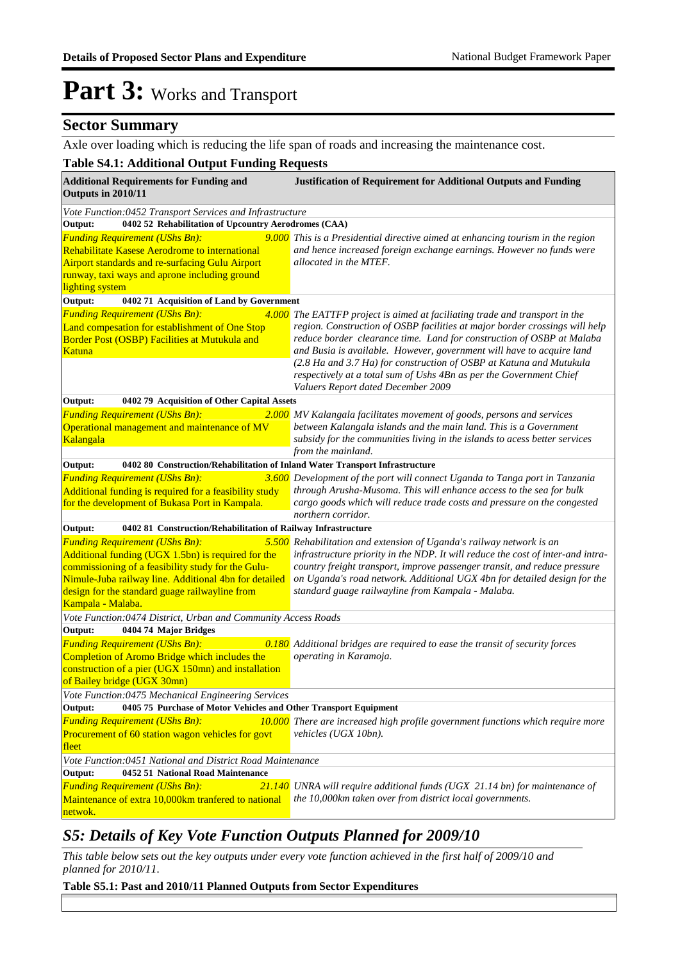#### **Sector Summary**

Axle over loading which is reducing the life span of roads and increasing the maintenance cost.

#### **Table S4.1: Additional Output Funding Requests**

| <b>Additional Requirements for Funding and</b><br>Outputs in 2010/11                                                                                                                                                                                                              | <b>Justification of Requirement for Additional Outputs and Funding</b>                                                                                                                                                                                                                                                                                                                                                                                                                           |  |  |  |  |
|-----------------------------------------------------------------------------------------------------------------------------------------------------------------------------------------------------------------------------------------------------------------------------------|--------------------------------------------------------------------------------------------------------------------------------------------------------------------------------------------------------------------------------------------------------------------------------------------------------------------------------------------------------------------------------------------------------------------------------------------------------------------------------------------------|--|--|--|--|
| Vote Function:0452 Transport Services and Infrastructure                                                                                                                                                                                                                          |                                                                                                                                                                                                                                                                                                                                                                                                                                                                                                  |  |  |  |  |
| 0402 52 Rehabilitation of Upcountry Aerodromes (CAA)<br>Output:                                                                                                                                                                                                                   |                                                                                                                                                                                                                                                                                                                                                                                                                                                                                                  |  |  |  |  |
| <b>Funding Requirement (UShs Bn):</b><br>Rehabilitate Kasese Aerodrome to international<br><b>Airport standards and re-surfacing Gulu Airport</b><br>runway, taxi ways and aprone including ground<br>lighting system                                                             | 9.000 This is a Presidential directive aimed at enhancing tourism in the region<br>and hence increased foreign exchange earnings. However no funds were<br>allocated in the MTEF.                                                                                                                                                                                                                                                                                                                |  |  |  |  |
| Output:<br>0402 71 Acquisition of Land by Government                                                                                                                                                                                                                              |                                                                                                                                                                                                                                                                                                                                                                                                                                                                                                  |  |  |  |  |
| <b>Funding Requirement (UShs Bn):</b><br>Land compesation for establishment of One Stop<br>Border Post (OSBP) Facilities at Mutukula and<br><b>Katuna</b>                                                                                                                         | 4.000 The EATTFP project is aimed at faciliating trade and transport in the<br>region. Construction of OSBP facilities at major border crossings will help<br>reduce border clearance time. Land for construction of OSBP at Malaba<br>and Busia is available. However, government will have to acquire land<br>(2.8 Ha and 3.7 Ha) for construction of OSBP at Katuna and Mutukula<br>respectively at a total sum of Ushs 4Bn as per the Government Chief<br>Valuers Report dated December 2009 |  |  |  |  |
| Output:<br>0402 79 Acquisition of Other Capital Assets                                                                                                                                                                                                                            |                                                                                                                                                                                                                                                                                                                                                                                                                                                                                                  |  |  |  |  |
| <b>Funding Requirement (UShs Bn):</b><br>Operational management and maintenance of MV<br>Kalangala                                                                                                                                                                                | 2.000 MV Kalangala facilitates movement of goods, persons and services<br>between Kalangala islands and the main land. This is a Government<br>subsidy for the communities living in the islands to acess better services<br>from the mainland.                                                                                                                                                                                                                                                  |  |  |  |  |
| Output:<br>0402 80 Construction/Rehabilitation of Inland Water Transport Infrastructure                                                                                                                                                                                           |                                                                                                                                                                                                                                                                                                                                                                                                                                                                                                  |  |  |  |  |
| <b>Funding Requirement (UShs Bn):</b><br>Additional funding is required for a feasibility study<br>for the development of Bukasa Port in Kampala.                                                                                                                                 | 3.600 Development of the port will connect Uganda to Tanga port in Tanzania<br>through Arusha-Musoma. This will enhance access to the sea for bulk<br>cargo goods which will reduce trade costs and pressure on the congested<br>northern corridor.                                                                                                                                                                                                                                              |  |  |  |  |
| Output:<br>0402 81 Construction/Rehabilitation of Railway Infrastructure                                                                                                                                                                                                          |                                                                                                                                                                                                                                                                                                                                                                                                                                                                                                  |  |  |  |  |
| <b>Funding Requirement (UShs Bn):</b><br>Additional funding (UGX 1.5bn) is required for the<br>commissioning of a feasibility study for the Gulu-<br>Nimule-Juba railway line. Additional 4bn for detailed<br>design for the standard guage railwayline from<br>Kampala - Malaba. | 5.500 Rehabilitation and extension of Uganda's railway network is an<br>infrastructure priority in the NDP. It will reduce the cost of inter-and intra-<br>country freight transport, improve passenger transit, and reduce pressure<br>on Uganda's road network. Additional UGX 4bn for detailed design for the<br>standard guage railwayline from Kampala - Malaba.                                                                                                                            |  |  |  |  |
| Vote Function:0474 District, Urban and Community Access Roads                                                                                                                                                                                                                     |                                                                                                                                                                                                                                                                                                                                                                                                                                                                                                  |  |  |  |  |
| Output:<br>0404 74 Major Bridges<br><b>Funding Requirement (UShs Bn):</b><br>Completion of Aromo Bridge which includes the<br>construction of a pier (UGX 150mn) and installation<br>of Bailey bridge (UGX 30mn)                                                                  | 0.180 Additional bridges are required to ease the transit of security forces<br>operating in Karamoja.                                                                                                                                                                                                                                                                                                                                                                                           |  |  |  |  |
| Vote Function:0475 Mechanical Engineering Services                                                                                                                                                                                                                                |                                                                                                                                                                                                                                                                                                                                                                                                                                                                                                  |  |  |  |  |
| 0405 75 Purchase of Motor Vehicles and Other Transport Equipment<br>Output:                                                                                                                                                                                                       |                                                                                                                                                                                                                                                                                                                                                                                                                                                                                                  |  |  |  |  |
| <b>Funding Requirement (UShs Bn):</b><br>Procurement of 60 station wagon vehicles for govt<br>fleet                                                                                                                                                                               | 10.000 There are increased high profile government functions which require more<br>vehicles (UGX 10bn).                                                                                                                                                                                                                                                                                                                                                                                          |  |  |  |  |
| Vote Function:0451 National and District Road Maintenance                                                                                                                                                                                                                         |                                                                                                                                                                                                                                                                                                                                                                                                                                                                                                  |  |  |  |  |
| Output:<br>0452 51 National Road Maintenance<br><b>Funding Requirement (UShs Bn):</b><br>Maintenance of extra 10,000km tranfered to national<br>netwok.                                                                                                                           | $21.140$ UNRA will require additional funds (UGX 21.14 bn) for maintenance of<br>the 10,000km taken over from district local governments.                                                                                                                                                                                                                                                                                                                                                        |  |  |  |  |

#### *S5: Details of Key Vote Function Outputs Planned for 2009/10*

*This table below sets out the key outputs under every vote function achieved in the first half of 2009/10 and planned for 2010/11.*

**Table S5.1: Past and 2010/11 Planned Outputs from Sector Expenditures**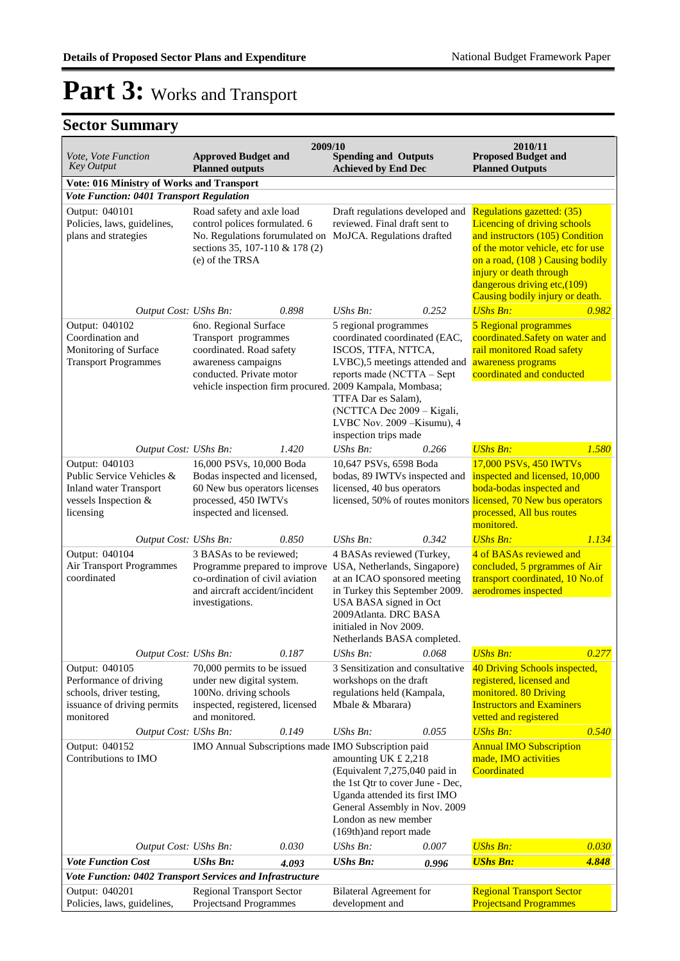| Vote, Vote Function<br><b>Key Output</b>                                                                          | <b>Approved Budget and</b><br><b>Planned outputs</b>                                                                                                                                     | 2009/10<br><b>Spending and Outputs</b><br><b>Achieved by End Dec</b>                                                                                                                                                                                      | 2010/11<br><b>Proposed Budget and</b><br><b>Planned Outputs</b>                                                                                                                                                                                                     |
|-------------------------------------------------------------------------------------------------------------------|------------------------------------------------------------------------------------------------------------------------------------------------------------------------------------------|-----------------------------------------------------------------------------------------------------------------------------------------------------------------------------------------------------------------------------------------------------------|---------------------------------------------------------------------------------------------------------------------------------------------------------------------------------------------------------------------------------------------------------------------|
| Vote: 016 Ministry of Works and Transport                                                                         |                                                                                                                                                                                          |                                                                                                                                                                                                                                                           |                                                                                                                                                                                                                                                                     |
| <b>Vote Function: 0401 Transport Regulation</b>                                                                   |                                                                                                                                                                                          |                                                                                                                                                                                                                                                           |                                                                                                                                                                                                                                                                     |
| Output: 040101<br>Policies, laws, guidelines,<br>plans and strategies                                             | Road safety and axle load<br>control polices formulated. 6<br>No. Regulations forumulated on MoJCA. Regulations drafted<br>sections 35, 107-110 & 178 (2)<br>(e) of the TRSA             | Draft regulations developed and<br>reviewed. Final draft sent to                                                                                                                                                                                          | Regulations gazetted: (35)<br>Licencing of driving schools<br>and instructors (105) Condition<br>of the motor vehicle, etc for use<br>on a road, (108) Causing bodily<br>injury or death through<br>dangerous driving etc, (109)<br>Causing bodily injury or death. |
| Output Cost: UShs Bn:                                                                                             | 0.898                                                                                                                                                                                    | $UShs Bn$ :<br>0.252                                                                                                                                                                                                                                      | <b>UShs Bn:</b><br>0.982                                                                                                                                                                                                                                            |
| Output: 040102<br>Coordination and<br>Monitoring of Surface<br><b>Transport Programmes</b>                        | 6no. Regional Surface<br>Transport programmes<br>coordinated. Road safety<br>awareness campaigns<br>conducted. Private motor<br>vehicle inspection firm procured. 2009 Kampala, Mombasa; | 5 regional programmes<br>coordinated coordinated (EAC,<br>ISCOS, TTFA, NTTCA,<br>LVBC),5 meetings attended and<br>reports made (NCTTA - Sept<br>TTFA Dar es Salam),<br>(NCTTCA Dec 2009 - Kigali,<br>LVBC Nov. 2009 - Kisumu), 4<br>inspection trips made | 5 Regional programmes<br>coordinated.Safety on water and<br>rail monitored Road safety<br>awareness programs<br>coordinated and conducted                                                                                                                           |
| Output Cost: UShs Bn:                                                                                             | 1.420                                                                                                                                                                                    | UShs Bn:<br>0.266                                                                                                                                                                                                                                         | <b>UShs Bn:</b><br>1.580                                                                                                                                                                                                                                            |
| Output: 040103<br>Public Service Vehicles &<br><b>Inland water Transport</b><br>vessels Inspection &<br>licensing | 16,000 PSVs, 10,000 Boda<br>Bodas inspected and licensed,<br>60 New bus operators licenses<br>processed, 450 IWTVs<br>inspected and licensed.                                            | 10,647 PSVs, 6598 Boda<br>bodas, 89 IWTVs inspected and<br>licensed, 40 bus operators<br>licensed, 50% of routes monitors licensed, 70 New bus operators                                                                                                  | 17,000 PSVs, 450 IWTVs<br>inspected and licensed, 10,000<br>boda-bodas inspected and<br>processed, All bus routes<br>monitored.                                                                                                                                     |
| Output Cost: UShs Bn:                                                                                             | 0.850                                                                                                                                                                                    | 0.342<br>UShs Bn:                                                                                                                                                                                                                                         | <b>UShs Bn:</b><br>1.134                                                                                                                                                                                                                                            |
| Output: 040104<br>Air Transport Programmes<br>coordinated                                                         | 3 BASAs to be reviewed;<br>Programme prepared to improve<br>co-ordination of civil aviation<br>and aircraft accident/incident<br>investigations.                                         | 4 BASAs reviewed (Turkey,<br>USA, Netherlands, Singapore)<br>at an ICAO sponsored meeting<br>in Turkey this September 2009.<br>USA BASA signed in Oct<br>2009Atlanta. DRC BASA<br>initialed in Nov 2009.<br>Netherlands BASA completed.                   | 4 of BASAs reviewed and<br>concluded, 5 prgrammes of Air<br>transport coordinated, 10 No.of<br>aerodromes inspected                                                                                                                                                 |
| Output Cost: UShs Bn:                                                                                             | 0.187                                                                                                                                                                                    | UShs Bn:<br>0.068                                                                                                                                                                                                                                         | <b>UShs Bn:</b><br>0.277                                                                                                                                                                                                                                            |
| Output: 040105<br>Performance of driving<br>schools, driver testing,<br>issuance of driving permits<br>monitored  | 70,000 permits to be issued<br>under new digital system.<br>100No. driving schools<br>inspected, registered, licensed<br>and monitored.                                                  | 3 Sensitization and consultative<br>workshops on the draft<br>regulations held (Kampala,<br>Mbale & Mbarara)                                                                                                                                              | 40 Driving Schools inspected,<br>registered, licensed and<br>monitored. 80 Driving<br><b>Instructors and Examiners</b><br>vetted and registered                                                                                                                     |
| Output Cost: UShs Bn:                                                                                             | 0.149                                                                                                                                                                                    | 0.055<br>UShs Bn:                                                                                                                                                                                                                                         | 0.540<br><b>UShs Bn:</b>                                                                                                                                                                                                                                            |
| Output: 040152<br>Contributions to IMO                                                                            | IMO Annual Subscriptions made IMO Subscription paid                                                                                                                                      | amounting UK £ 2,218<br>(Equivalent 7,275,040 paid in<br>the 1st Qtr to cover June - Dec,<br>Uganda attended its first IMO<br>General Assembly in Nov. 2009<br>London as new member<br>(169th)and report made                                             | <b>Annual IMO Subscription</b><br>made, IMO activities<br>Coordinated                                                                                                                                                                                               |
| Output Cost: UShs Bn:                                                                                             | 0.030                                                                                                                                                                                    | UShs Bn:<br>0.007                                                                                                                                                                                                                                         | <b>UShs Bn:</b><br>0.030                                                                                                                                                                                                                                            |
| <b>Vote Function Cost</b>                                                                                         | <b>UShs Bn:</b><br>4.093                                                                                                                                                                 | <b>UShs Bn:</b><br>0.996                                                                                                                                                                                                                                  | <b>UShs Bn:</b><br>4.848                                                                                                                                                                                                                                            |
|                                                                                                                   | Vote Function: 0402 Transport Services and Infrastructure                                                                                                                                |                                                                                                                                                                                                                                                           |                                                                                                                                                                                                                                                                     |
| Output: 040201<br>Policies, laws, guidelines,                                                                     | <b>Regional Transport Sector</b><br>Projectsand Programmes                                                                                                                               | <b>Bilateral Agreement for</b><br>development and                                                                                                                                                                                                         | <b>Regional Transport Sector</b><br><b>Projectsand Programmes</b>                                                                                                                                                                                                   |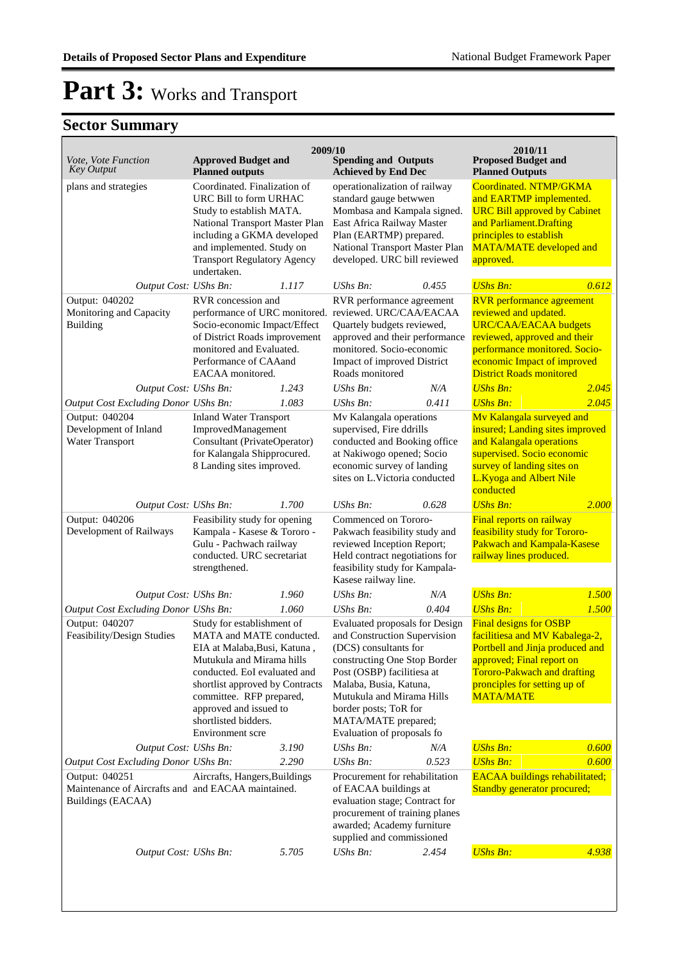| Coordinated. NTMP/GKMA<br>plans and strategies<br>Coordinated. Finalization of<br>operationalization of railway<br>URC Bill to form URHAC<br>standard gauge betwwen<br>and EARTMP implemented.<br>Mombasa and Kampala signed.<br><b>URC Bill approved by Cabinet</b><br>Study to establish MATA.<br>National Transport Master Plan<br>East Africa Railway Master<br>and Parliament. Drafting<br>principles to establish<br>including a GKMA developed<br>Plan (EARTMP) prepared.<br>National Transport Master Plan<br>and implemented. Study on<br><b>MATA/MATE</b> developed and<br><b>Transport Regulatory Agency</b><br>developed. URC bill reviewed<br>approved.<br>undertaken.<br>Output Cost: UShs Bn:<br><b>UShs Bn:</b><br>0.612<br><b>UShs Bn:</b><br>0.455<br>1.117<br>Output: 040202<br><b>RVR</b> performance agreement<br>RVR concession and<br>RVR performance agreement<br>Monitoring and Capacity<br>reviewed. URC/CAA/EACAA<br>reviewed and updated.<br>performance of URC monitored.<br><b>URC/CAA/EACAA</b> budgets<br>Building<br>Socio-economic Impact/Effect<br>Quartely budgets reviewed,<br>of District Roads improvement<br>approved and their performance<br>reviewed, approved and their<br>monitored. Socio-economic<br>performance monitored. Socio-<br>monitored and Evaluated.<br>economic Impact of improved<br>Performance of CAAand<br>Impact of improved District<br><b>District Roads monitored</b><br>EACAA monitored.<br>Roads monitored<br><b>UShs Bn:</b><br>Output Cost: UShs Bn:<br>1.243<br>$UShs Bn$ :<br>N/A<br>2.045<br>2.045<br>Output Cost Excluding Donor UShs Bn:<br>1.083<br>UShs Bn:<br>0.411<br><b>UShs Bn:</b><br>Output: 040204<br><b>Inland Water Transport</b><br>Mv Kalangala operations<br>Mv Kalangala surveyed and<br>Development of Inland<br>ImprovedManagement<br>supervised, Fire ddrills<br>insured; Landing sites improved<br>Water Transport<br>Consultant (PrivateOperator)<br>conducted and Booking office<br>and Kalangala operations<br>for Kalangala Shipprocured.<br>supervised. Socio economic<br>at Nakiwogo opened; Socio<br>8 Landing sites improved.<br>economic survey of landing<br>survey of landing sites on<br>sites on L.Victoria conducted<br>L.Kyoga and Albert Nile<br>conducted<br><b>UShs Bn:</b><br>1.700<br>UShs Bn:<br>0.628<br>2.000<br>Output Cost: UShs Bn:<br>Output: 040206<br>Feasibility study for opening<br>Commenced on Tororo-<br>Final reports on railway<br>Kampala - Kasese & Tororo -<br>feasibility study for Tororo-<br>Development of Railways<br>Pakwach feasibility study and<br>Pakwach and Kampala-Kasese<br>Gulu - Pachwach railway<br>reviewed Inception Report;<br>railway lines produced.<br>conducted. URC secretariat<br>Held contract negotiations for<br>feasibility study for Kampala-<br>strengthened.<br>Kasese railway line.<br><b>UShs Bn:</b><br>1.500<br>1.960<br>UShs Bn:<br>Output Cost: UShs Bn:<br>N/A<br>0.404<br><b>UShs Bn:</b><br>1.500<br>Output Cost Excluding Donor UShs Bn:<br>1.060<br><b>UShs Bn:</b><br>Output: 040207<br>Study for establishment of<br><b>Final designs for OSBP</b><br><b>Evaluated proposals for Design</b><br>Feasibility/Design Studies<br>MATA and MATE conducted.<br>and Construction Supervision<br>facilitiesa and MV Kabalega-2,<br>Portbell and Jinja produced and<br>EIA at Malaba, Busi, Katuna,<br>(DCS) consultants for<br>constructing One Stop Border<br>approved; Final report on<br>Mutukula and Mirama hills<br>conducted. EoI evaluated and<br>Post (OSBP) facilitiesa at<br><b>Tororo-Pakwach and drafting</b><br>Malaba, Busia, Katuna,<br>pronciples for setting up of<br>shortlist approved by Contracts<br>committee. RFP prepared,<br>Mutukula and Mirama Hills<br><b>MATA/MATE</b><br>approved and issued to<br>border posts; ToR for<br>shortlisted bidders.<br>MATA/MATE prepared;<br>Evaluation of proposals fo<br>Environment scre<br>0.600<br>UShs Bn:<br><b>UShs Bn:</b><br>Output Cost: UShs Bn:<br>3.190<br>N/A<br><b>UShs Bn:</b><br>2.290<br>0.523<br>0.600<br>Output Cost Excluding Donor UShs Bn:<br>$UShs Bn$ :<br>Procurement for rehabilitation<br><b>EACAA</b> buildings rehabilitated;<br>Output: 040251<br>Aircrafts, Hangers, Buildings<br>Maintenance of Aircrafts and and EACAA maintained.<br>of EACAA buildings at<br>Standby generator procured;<br>Buildings (EACAA)<br>evaluation stage; Contract for<br>procurement of training planes<br>awarded; Academy furniture<br>supplied and commissioned<br><b>UShs Bn:</b><br>4.938<br>Output Cost: UShs Bn:<br>5.705<br>UShs Bn:<br>2.454 | Vote, Vote Function<br><b>Key Output</b> | <b>Approved Budget and</b><br><b>Planned outputs</b> | 2009/10 | <b>Spending and Outputs</b><br><b>Achieved by End Dec</b> |  | 2010/11<br><b>Proposed Budget and</b><br><b>Planned Outputs</b> |  |
|--------------------------------------------------------------------------------------------------------------------------------------------------------------------------------------------------------------------------------------------------------------------------------------------------------------------------------------------------------------------------------------------------------------------------------------------------------------------------------------------------------------------------------------------------------------------------------------------------------------------------------------------------------------------------------------------------------------------------------------------------------------------------------------------------------------------------------------------------------------------------------------------------------------------------------------------------------------------------------------------------------------------------------------------------------------------------------------------------------------------------------------------------------------------------------------------------------------------------------------------------------------------------------------------------------------------------------------------------------------------------------------------------------------------------------------------------------------------------------------------------------------------------------------------------------------------------------------------------------------------------------------------------------------------------------------------------------------------------------------------------------------------------------------------------------------------------------------------------------------------------------------------------------------------------------------------------------------------------------------------------------------------------------------------------------------------------------------------------------------------------------------------------------------------------------------------------------------------------------------------------------------------------------------------------------------------------------------------------------------------------------------------------------------------------------------------------------------------------------------------------------------------------------------------------------------------------------------------------------------------------------------------------------------------------------------------------------------------------------------------------------------------------------------------------------------------------------------------------------------------------------------------------------------------------------------------------------------------------------------------------------------------------------------------------------------------------------------------------------------------------------------------------------------------------------------------------------------------------------------------------------------------------------------------------------------------------------------------------------------------------------------------------------------------------------------------------------------------------------------------------------------------------------------------------------------------------------------------------------------------------------------------------------------------------------------------------------------------------------------------------------------------------------------------------------------------------------------------------------------------------------------------------------------------------------------------------------------------------------------------------------------------------------------------------------------------------------------------------------------------------------------------------------------------------------------------------------------------------------------------------------------------------------------------------------------------------------------------------------------------------------------------------------------------------------------------------------------------------------------------------------------------------------------------------------------------------------------------------------------|------------------------------------------|------------------------------------------------------|---------|-----------------------------------------------------------|--|-----------------------------------------------------------------|--|
|                                                                                                                                                                                                                                                                                                                                                                                                                                                                                                                                                                                                                                                                                                                                                                                                                                                                                                                                                                                                                                                                                                                                                                                                                                                                                                                                                                                                                                                                                                                                                                                                                                                                                                                                                                                                                                                                                                                                                                                                                                                                                                                                                                                                                                                                                                                                                                                                                                                                                                                                                                                                                                                                                                                                                                                                                                                                                                                                                                                                                                                                                                                                                                                                                                                                                                                                                                                                                                                                                                                                                                                                                                                                                                                                                                                                                                                                                                                                                                                                                                                                                                                                                                                                                                                                                                                                                                                                                                                                                                                                                                                                              |                                          |                                                      |         |                                                           |  |                                                                 |  |
|                                                                                                                                                                                                                                                                                                                                                                                                                                                                                                                                                                                                                                                                                                                                                                                                                                                                                                                                                                                                                                                                                                                                                                                                                                                                                                                                                                                                                                                                                                                                                                                                                                                                                                                                                                                                                                                                                                                                                                                                                                                                                                                                                                                                                                                                                                                                                                                                                                                                                                                                                                                                                                                                                                                                                                                                                                                                                                                                                                                                                                                                                                                                                                                                                                                                                                                                                                                                                                                                                                                                                                                                                                                                                                                                                                                                                                                                                                                                                                                                                                                                                                                                                                                                                                                                                                                                                                                                                                                                                                                                                                                                              |                                          |                                                      |         |                                                           |  |                                                                 |  |
|                                                                                                                                                                                                                                                                                                                                                                                                                                                                                                                                                                                                                                                                                                                                                                                                                                                                                                                                                                                                                                                                                                                                                                                                                                                                                                                                                                                                                                                                                                                                                                                                                                                                                                                                                                                                                                                                                                                                                                                                                                                                                                                                                                                                                                                                                                                                                                                                                                                                                                                                                                                                                                                                                                                                                                                                                                                                                                                                                                                                                                                                                                                                                                                                                                                                                                                                                                                                                                                                                                                                                                                                                                                                                                                                                                                                                                                                                                                                                                                                                                                                                                                                                                                                                                                                                                                                                                                                                                                                                                                                                                                                              |                                          |                                                      |         |                                                           |  |                                                                 |  |
|                                                                                                                                                                                                                                                                                                                                                                                                                                                                                                                                                                                                                                                                                                                                                                                                                                                                                                                                                                                                                                                                                                                                                                                                                                                                                                                                                                                                                                                                                                                                                                                                                                                                                                                                                                                                                                                                                                                                                                                                                                                                                                                                                                                                                                                                                                                                                                                                                                                                                                                                                                                                                                                                                                                                                                                                                                                                                                                                                                                                                                                                                                                                                                                                                                                                                                                                                                                                                                                                                                                                                                                                                                                                                                                                                                                                                                                                                                                                                                                                                                                                                                                                                                                                                                                                                                                                                                                                                                                                                                                                                                                                              |                                          |                                                      |         |                                                           |  |                                                                 |  |
|                                                                                                                                                                                                                                                                                                                                                                                                                                                                                                                                                                                                                                                                                                                                                                                                                                                                                                                                                                                                                                                                                                                                                                                                                                                                                                                                                                                                                                                                                                                                                                                                                                                                                                                                                                                                                                                                                                                                                                                                                                                                                                                                                                                                                                                                                                                                                                                                                                                                                                                                                                                                                                                                                                                                                                                                                                                                                                                                                                                                                                                                                                                                                                                                                                                                                                                                                                                                                                                                                                                                                                                                                                                                                                                                                                                                                                                                                                                                                                                                                                                                                                                                                                                                                                                                                                                                                                                                                                                                                                                                                                                                              |                                          |                                                      |         |                                                           |  |                                                                 |  |
|                                                                                                                                                                                                                                                                                                                                                                                                                                                                                                                                                                                                                                                                                                                                                                                                                                                                                                                                                                                                                                                                                                                                                                                                                                                                                                                                                                                                                                                                                                                                                                                                                                                                                                                                                                                                                                                                                                                                                                                                                                                                                                                                                                                                                                                                                                                                                                                                                                                                                                                                                                                                                                                                                                                                                                                                                                                                                                                                                                                                                                                                                                                                                                                                                                                                                                                                                                                                                                                                                                                                                                                                                                                                                                                                                                                                                                                                                                                                                                                                                                                                                                                                                                                                                                                                                                                                                                                                                                                                                                                                                                                                              |                                          |                                                      |         |                                                           |  |                                                                 |  |
|                                                                                                                                                                                                                                                                                                                                                                                                                                                                                                                                                                                                                                                                                                                                                                                                                                                                                                                                                                                                                                                                                                                                                                                                                                                                                                                                                                                                                                                                                                                                                                                                                                                                                                                                                                                                                                                                                                                                                                                                                                                                                                                                                                                                                                                                                                                                                                                                                                                                                                                                                                                                                                                                                                                                                                                                                                                                                                                                                                                                                                                                                                                                                                                                                                                                                                                                                                                                                                                                                                                                                                                                                                                                                                                                                                                                                                                                                                                                                                                                                                                                                                                                                                                                                                                                                                                                                                                                                                                                                                                                                                                                              |                                          |                                                      |         |                                                           |  |                                                                 |  |
|                                                                                                                                                                                                                                                                                                                                                                                                                                                                                                                                                                                                                                                                                                                                                                                                                                                                                                                                                                                                                                                                                                                                                                                                                                                                                                                                                                                                                                                                                                                                                                                                                                                                                                                                                                                                                                                                                                                                                                                                                                                                                                                                                                                                                                                                                                                                                                                                                                                                                                                                                                                                                                                                                                                                                                                                                                                                                                                                                                                                                                                                                                                                                                                                                                                                                                                                                                                                                                                                                                                                                                                                                                                                                                                                                                                                                                                                                                                                                                                                                                                                                                                                                                                                                                                                                                                                                                                                                                                                                                                                                                                                              |                                          |                                                      |         |                                                           |  |                                                                 |  |
|                                                                                                                                                                                                                                                                                                                                                                                                                                                                                                                                                                                                                                                                                                                                                                                                                                                                                                                                                                                                                                                                                                                                                                                                                                                                                                                                                                                                                                                                                                                                                                                                                                                                                                                                                                                                                                                                                                                                                                                                                                                                                                                                                                                                                                                                                                                                                                                                                                                                                                                                                                                                                                                                                                                                                                                                                                                                                                                                                                                                                                                                                                                                                                                                                                                                                                                                                                                                                                                                                                                                                                                                                                                                                                                                                                                                                                                                                                                                                                                                                                                                                                                                                                                                                                                                                                                                                                                                                                                                                                                                                                                                              |                                          |                                                      |         |                                                           |  |                                                                 |  |
|                                                                                                                                                                                                                                                                                                                                                                                                                                                                                                                                                                                                                                                                                                                                                                                                                                                                                                                                                                                                                                                                                                                                                                                                                                                                                                                                                                                                                                                                                                                                                                                                                                                                                                                                                                                                                                                                                                                                                                                                                                                                                                                                                                                                                                                                                                                                                                                                                                                                                                                                                                                                                                                                                                                                                                                                                                                                                                                                                                                                                                                                                                                                                                                                                                                                                                                                                                                                                                                                                                                                                                                                                                                                                                                                                                                                                                                                                                                                                                                                                                                                                                                                                                                                                                                                                                                                                                                                                                                                                                                                                                                                              |                                          |                                                      |         |                                                           |  |                                                                 |  |
|                                                                                                                                                                                                                                                                                                                                                                                                                                                                                                                                                                                                                                                                                                                                                                                                                                                                                                                                                                                                                                                                                                                                                                                                                                                                                                                                                                                                                                                                                                                                                                                                                                                                                                                                                                                                                                                                                                                                                                                                                                                                                                                                                                                                                                                                                                                                                                                                                                                                                                                                                                                                                                                                                                                                                                                                                                                                                                                                                                                                                                                                                                                                                                                                                                                                                                                                                                                                                                                                                                                                                                                                                                                                                                                                                                                                                                                                                                                                                                                                                                                                                                                                                                                                                                                                                                                                                                                                                                                                                                                                                                                                              |                                          |                                                      |         |                                                           |  |                                                                 |  |
|                                                                                                                                                                                                                                                                                                                                                                                                                                                                                                                                                                                                                                                                                                                                                                                                                                                                                                                                                                                                                                                                                                                                                                                                                                                                                                                                                                                                                                                                                                                                                                                                                                                                                                                                                                                                                                                                                                                                                                                                                                                                                                                                                                                                                                                                                                                                                                                                                                                                                                                                                                                                                                                                                                                                                                                                                                                                                                                                                                                                                                                                                                                                                                                                                                                                                                                                                                                                                                                                                                                                                                                                                                                                                                                                                                                                                                                                                                                                                                                                                                                                                                                                                                                                                                                                                                                                                                                                                                                                                                                                                                                                              |                                          |                                                      |         |                                                           |  |                                                                 |  |
|                                                                                                                                                                                                                                                                                                                                                                                                                                                                                                                                                                                                                                                                                                                                                                                                                                                                                                                                                                                                                                                                                                                                                                                                                                                                                                                                                                                                                                                                                                                                                                                                                                                                                                                                                                                                                                                                                                                                                                                                                                                                                                                                                                                                                                                                                                                                                                                                                                                                                                                                                                                                                                                                                                                                                                                                                                                                                                                                                                                                                                                                                                                                                                                                                                                                                                                                                                                                                                                                                                                                                                                                                                                                                                                                                                                                                                                                                                                                                                                                                                                                                                                                                                                                                                                                                                                                                                                                                                                                                                                                                                                                              |                                          |                                                      |         |                                                           |  |                                                                 |  |
|                                                                                                                                                                                                                                                                                                                                                                                                                                                                                                                                                                                                                                                                                                                                                                                                                                                                                                                                                                                                                                                                                                                                                                                                                                                                                                                                                                                                                                                                                                                                                                                                                                                                                                                                                                                                                                                                                                                                                                                                                                                                                                                                                                                                                                                                                                                                                                                                                                                                                                                                                                                                                                                                                                                                                                                                                                                                                                                                                                                                                                                                                                                                                                                                                                                                                                                                                                                                                                                                                                                                                                                                                                                                                                                                                                                                                                                                                                                                                                                                                                                                                                                                                                                                                                                                                                                                                                                                                                                                                                                                                                                                              |                                          |                                                      |         |                                                           |  |                                                                 |  |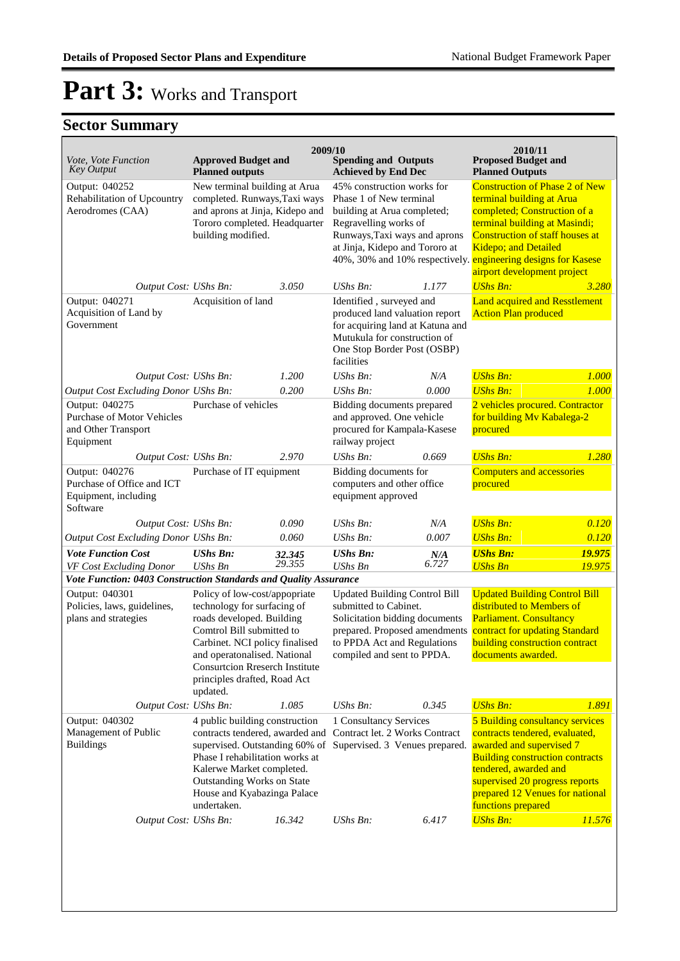| Vote, Vote Function<br><b>Key Output</b>                                                | <b>Approved Budget and</b><br><b>Planned outputs</b>                                                                                                                                                                                                                          | 2009/10 | <b>Spending and Outputs</b><br><b>Achieved by End Dec</b>                                                                                                                                                                                         |                | 2010/11<br><b>Proposed Budget and</b><br><b>Planned Outputs</b>                                                                                                                                                                                             |        |
|-----------------------------------------------------------------------------------------|-------------------------------------------------------------------------------------------------------------------------------------------------------------------------------------------------------------------------------------------------------------------------------|---------|---------------------------------------------------------------------------------------------------------------------------------------------------------------------------------------------------------------------------------------------------|----------------|-------------------------------------------------------------------------------------------------------------------------------------------------------------------------------------------------------------------------------------------------------------|--------|
| Output: 040252<br>Rehabilitation of Upcountry<br>Aerodromes (CAA)                       | New terminal building at Arua<br>completed. Runways, Taxi ways<br>and aprons at Jinja, Kidepo and<br>Tororo completed. Headquarter<br>building modified.                                                                                                                      |         | 45% construction works for<br>Phase 1 of New terminal<br>building at Arua completed;<br>Regravelling works of<br>Runways, Taxi ways and aprons<br>at Jinja, Kidepo and Tororo at<br>40%, 30% and 10% respectively. engineering designs for Kasese |                | <b>Construction of Phase 2 of New</b><br>terminal building at Arua<br>completed; Construction of a<br>terminal building at Masindi;<br><b>Construction of staff houses at</b><br>Kidepo; and Detailed<br>airport development project                        |        |
| Output Cost: UShs Bn:                                                                   |                                                                                                                                                                                                                                                                               | 3.050   | UShs Bn:                                                                                                                                                                                                                                          | 1.177          | <b>UShs Bn:</b>                                                                                                                                                                                                                                             | 3.280  |
| Output: 040271<br>Acquisition of Land by<br>Government                                  | Acquisition of land                                                                                                                                                                                                                                                           |         | Identified, surveyed and<br>produced land valuation report<br>for acquiring land at Katuna and<br>Mutukula for construction of<br>One Stop Border Post (OSBP)<br>facilities                                                                       |                | <b>Land acquired and Resstlement</b><br><b>Action Plan produced</b>                                                                                                                                                                                         |        |
| Output Cost: UShs Bn:                                                                   |                                                                                                                                                                                                                                                                               | 1.200   | UShs Bn:                                                                                                                                                                                                                                          | N/A            | <b>UShs Bn:</b>                                                                                                                                                                                                                                             | 1.000  |
| Output Cost Excluding Donor UShs Bn:                                                    |                                                                                                                                                                                                                                                                               | 0.200   | UShs Bn:                                                                                                                                                                                                                                          | 0.000          | <b>UShs Bn:</b>                                                                                                                                                                                                                                             | 1.000  |
| Output: 040275<br><b>Purchase of Motor Vehicles</b><br>and Other Transport<br>Equipment | Purchase of vehicles                                                                                                                                                                                                                                                          |         | Bidding documents prepared<br>and approved. One vehicle<br>procured for Kampala-Kasese<br>railway project                                                                                                                                         |                | 2 vehicles procured. Contractor<br>for building Mv Kabalega-2<br>procured                                                                                                                                                                                   |        |
| Output Cost: UShs Bn:                                                                   |                                                                                                                                                                                                                                                                               | 2.970   | UShs Bn:                                                                                                                                                                                                                                          | 0.669          | <b>UShs Bn:</b>                                                                                                                                                                                                                                             | 1.280  |
| Output: 040276<br>Purchase of Office and ICT<br>Equipment, including<br>Software        | Purchase of IT equipment                                                                                                                                                                                                                                                      |         | Bidding documents for<br>computers and other office<br>equipment approved                                                                                                                                                                         |                | <b>Computers and accessories</b><br>procured                                                                                                                                                                                                                |        |
| Output Cost: UShs Bn:                                                                   |                                                                                                                                                                                                                                                                               | 0.090   | UShs Bn:                                                                                                                                                                                                                                          | N/A            | <b>UShs Bn:</b>                                                                                                                                                                                                                                             | 0.120  |
| Output Cost Excluding Donor UShs Bn:                                                    |                                                                                                                                                                                                                                                                               | 0.060   | UShs Bn:                                                                                                                                                                                                                                          | 0.007          | <b>UShs Bn:</b>                                                                                                                                                                                                                                             | 0.120  |
| <b>Vote Function Cost</b>                                                               | <b>UShs Bn:</b>                                                                                                                                                                                                                                                               | 32.345  | <b>UShs Bn:</b>                                                                                                                                                                                                                                   | $N/A$<br>6.727 | <b>UShs Bn:</b>                                                                                                                                                                                                                                             | 19.975 |
| VF Cost Excluding Donor                                                                 | <b>UShs Bn</b>                                                                                                                                                                                                                                                                | 29.355  | <b>UShs Bn</b>                                                                                                                                                                                                                                    |                | <b>UShs Bn</b>                                                                                                                                                                                                                                              | 19.975 |
| Vote Function: 0403 Construction Standards and Quality Assurance                        |                                                                                                                                                                                                                                                                               |         |                                                                                                                                                                                                                                                   |                |                                                                                                                                                                                                                                                             |        |
| Output: 040301<br>Policies, laws, guidelines,<br>plans and strategies                   | Policy of low-cost/appopriate<br>technology for surfacing of<br>roads developed. Building<br>Comtrol Bill submitted to<br>Carbinet. NCI policy finalised<br>and operatonalised. National<br><b>Consurtcion Rreserch Institute</b><br>principles drafted, Road Act<br>updated. |         | <b>Updated Building Control Bill</b><br>submitted to Cabinet.<br>Solicitation bidding documents<br>prepared. Proposed amendments<br>to PPDA Act and Regulations<br>compiled and sent to PPDA.                                                     |                | <b>Updated Building Control Bill</b><br>distributed to Members of<br><b>Parliament. Consultancy</b><br>contract for updating Standard<br>building construction contract<br>documents awarded.                                                               |        |
| Output Cost: UShs Bn:                                                                   |                                                                                                                                                                                                                                                                               | 1.085   | UShs Bn:                                                                                                                                                                                                                                          | 0.345          | <b>UShs Bn:</b>                                                                                                                                                                                                                                             | 1.891  |
| Output: 040302<br>Management of Public<br><b>Buildings</b>                              | 4 public building construction<br>contracts tendered, awarded and<br>supervised. Outstanding 60% of<br>Phase I rehabilitation works at<br>Kalerwe Market completed.<br>Outstanding Works on State<br>House and Kyabazinga Palace<br>undertaken.                               |         | 1 Consultancy Services<br>Contract let. 2 Works Contract<br>Supervised. 3 Venues prepared.                                                                                                                                                        |                | 5 Building consultancy services<br>contracts tendered, evaluated,<br>awarded and supervised 7<br><b>Building construction contracts</b><br>tendered, awarded and<br>supervised 20 progress reports<br>prepared 12 Venues for national<br>functions prepared |        |
| Output Cost: UShs Bn:                                                                   |                                                                                                                                                                                                                                                                               | 16.342  | UShs Bn:                                                                                                                                                                                                                                          | 6.417          | <b>UShs Bn:</b>                                                                                                                                                                                                                                             | 11.576 |
|                                                                                         |                                                                                                                                                                                                                                                                               |         |                                                                                                                                                                                                                                                   |                |                                                                                                                                                                                                                                                             |        |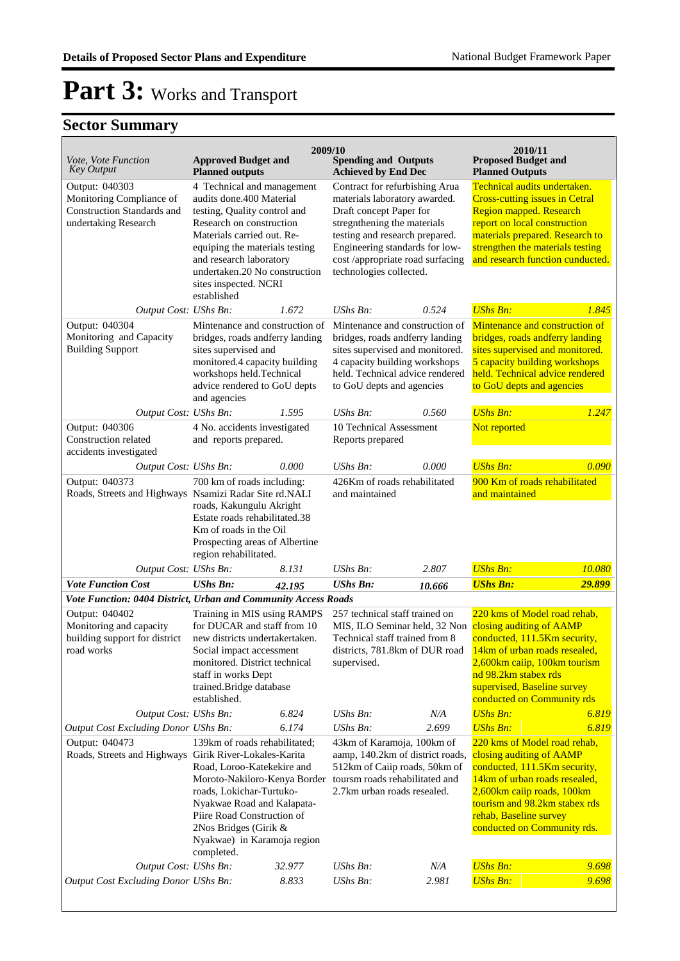| <i>Vote, Vote Function</i><br><b>Key Output</b>                                                                                                                                     | <b>Approved Budget and</b><br><b>Planned outputs</b>                                                                                                                                                                                                                                   | 2009/10 | <b>Spending and Outputs</b><br><b>Achieved by End Dec</b>                                                                                                                                                                                                    |        | 2010/11<br><b>Proposed Budget and</b><br><b>Planned Outputs</b>                                                                                                                                                                                                                                 |        |
|-------------------------------------------------------------------------------------------------------------------------------------------------------------------------------------|----------------------------------------------------------------------------------------------------------------------------------------------------------------------------------------------------------------------------------------------------------------------------------------|---------|--------------------------------------------------------------------------------------------------------------------------------------------------------------------------------------------------------------------------------------------------------------|--------|-------------------------------------------------------------------------------------------------------------------------------------------------------------------------------------------------------------------------------------------------------------------------------------------------|--------|
| Output: 040303<br>Monitoring Compliance of<br><b>Construction Standards and</b><br>undertaking Research                                                                             | 4 Technical and management<br>audits done.400 Material<br>testing, Quality control and<br>Research on construction<br>Materials carried out. Re-<br>equiping the materials testing<br>and research laboratory<br>undertaken.20 No construction<br>sites inspected. NCRI<br>established |         | Contract for refurbishing Arua<br>materials laboratory awarded.<br>Draft concept Paper for<br>stregnthening the materials<br>testing and research prepared.<br>Engineering standards for low-<br>cost /appropriate road surfacing<br>technologies collected. |        | Technical audits undertaken.<br><b>Cross-cutting issues in Cetral</b><br>Region mapped. Research<br>report on local construction<br>materials prepared. Research to<br>strengthen the materials testing<br>and research function cunducted.                                                     |        |
| Output Cost: UShs Bn:<br>Output: 040304<br>Monitoring and Capacity<br><b>Building Support</b>                                                                                       | Mintenance and construction of<br>bridges, roads andferry landing<br>sites supervised and<br>monitored.4 capacity building<br>workshops held.Technical<br>advice rendered to GoU depts<br>and agencies                                                                                 | 1.672   | UShs Bn:<br>Mintenance and construction of<br>bridges, roads andferry landing<br>sites supervised and monitored.<br>4 capacity building workshops<br>held. Technical advice rendered<br>to GoU depts and agencies                                            | 0.524  | <b>UShs Bn:</b><br>Mintenance and construction of<br>bridges, roads andferry landing<br>sites supervised and monitored.<br>5 capacity building workshops<br>held. Technical advice rendered<br>to GoU depts and agencies                                                                        | 1.845  |
| Output Cost: UShs Bn:                                                                                                                                                               |                                                                                                                                                                                                                                                                                        | 1.595   | UShs Bn:                                                                                                                                                                                                                                                     | 0.560  | <b>UShs Bn:</b>                                                                                                                                                                                                                                                                                 | 1.247  |
| Output: 040306<br>Construction related<br>accidents investigated                                                                                                                    | 4 No. accidents investigated<br>and reports prepared.                                                                                                                                                                                                                                  |         | 10 Technical Assessment<br>Reports prepared                                                                                                                                                                                                                  |        | Not reported                                                                                                                                                                                                                                                                                    |        |
| Output Cost: UShs Bn:<br>Output: 040373<br>Roads, Streets and Highways Nsamizi Radar Site rd.NALI                                                                                   | 700 km of roads including:<br>roads, Kakungulu Akright<br>Estate roads rehabilitated.38<br>Km of roads in the Oil<br>Prospecting areas of Albertine<br>region rehabilitated.                                                                                                           | 0.000   | UShs Bn:<br>0.000<br>426Km of roads rehabilitated<br>and maintained                                                                                                                                                                                          |        | <b>UShs Bn:</b><br>900 Km of roads rehabilitated<br>and maintained                                                                                                                                                                                                                              | 0.090  |
| Output Cost: UShs Bn:                                                                                                                                                               |                                                                                                                                                                                                                                                                                        | 8.131   | UShs Bn:                                                                                                                                                                                                                                                     | 2.807  | <b>UShs Bn:</b>                                                                                                                                                                                                                                                                                 | 10.080 |
| <b>Vote Function Cost</b>                                                                                                                                                           | <b>UShs Bn:</b>                                                                                                                                                                                                                                                                        | 42.195  | <b>UShs Bn:</b>                                                                                                                                                                                                                                              | 10.666 | <b>UShs Bn:</b>                                                                                                                                                                                                                                                                                 | 29.899 |
| Vote Function: 0404 District, Urban and Community Access Roads<br>Output: 040402<br>Monitoring and capacity<br>building support for district<br>road works<br>Output Cost: UShs Bn: | Training in MIS using RAMPS<br>for DUCAR and staff from 10<br>new districts undertakertaken.<br>Social impact accessment<br>monitored. District technical<br>staff in works Dept<br>trained.Bridge database<br>established.                                                            | 6.824   | 257 technical staff trained on<br>Technical staff trained from 8<br>districts, 781.8km of DUR road<br>supervised.<br>UShs Bn:                                                                                                                                | N/A    | 220 kms of Model road rehab,<br>MIS, ILO Seminar held, 32 Non closing auditing of AAMP<br>conducted, 111.5Km security,<br>14km of urban roads resealed,<br>2,600km caiip, 100km tourism<br>nd 98.2km stabex rds<br>supervised, Baseline survey<br>conducted on Community rds<br><b>UShs Bn:</b> | 6.819  |
| Output Cost Excluding Donor UShs Bn:<br>Output: 040473<br>Roads, Streets and Highways Girik River-Lokales-Karita                                                                    | 139km of roads rehabilitated;<br>Road, Loroo-Katekekire and<br>Moroto-Nakiloro-Kenya Border<br>roads, Lokichar-Turtuko-<br>Nyakwae Road and Kalapata-<br>Piire Road Construction of<br>2Nos Bridges (Girik &<br>Nyakwae) in Karamoja region<br>completed.                              | 6.174   | <b>UShs Bn:</b><br>43km of Karamoja, 100km of<br>aamp, 140.2km of district roads,<br>512km of Caiip roads, 50km of<br>toursm roads rehabilitated and<br>2.7km urban roads resealed.                                                                          | 2.699  | <b>UShs Bn:</b><br>220 kms of Model road rehab,<br>closing auditing of AAMP<br>conducted, 111.5Km security,<br>14km of urban roads resealed,<br>2,600km caiip roads, 100km<br>tourism and 98.2km stabex rds<br>rehab, Baseline survey<br>conducted on Community rds.                            | 6.819  |
| Output Cost: UShs Bn:                                                                                                                                                               |                                                                                                                                                                                                                                                                                        | 32.977  | UShs Bn:                                                                                                                                                                                                                                                     | N/A    | <b>UShs Bn:</b>                                                                                                                                                                                                                                                                                 | 9.698  |
| <b>Output Cost Excluding Donor UShs Bn:</b>                                                                                                                                         |                                                                                                                                                                                                                                                                                        | 8.833   | UShs Bn:                                                                                                                                                                                                                                                     | 2.981  | <b>UShs Bn:</b>                                                                                                                                                                                                                                                                                 | 9.698  |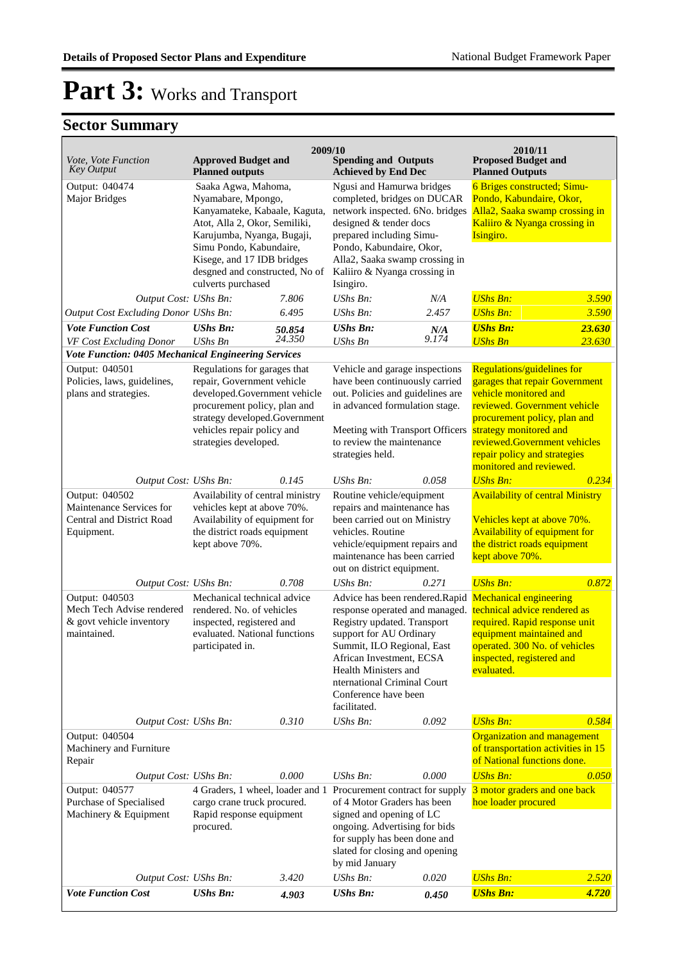## Part 3: Works and Transport

|                                                                                        |                                                                                                                                                                                                                                                            | 2009/10          |                                                                                                                                                                                                                                                              |                                                           | 2010/11<br><b>Proposed Budget and</b>                                                                                                                                                                                                                                      |                  |
|----------------------------------------------------------------------------------------|------------------------------------------------------------------------------------------------------------------------------------------------------------------------------------------------------------------------------------------------------------|------------------|--------------------------------------------------------------------------------------------------------------------------------------------------------------------------------------------------------------------------------------------------------------|-----------------------------------------------------------|----------------------------------------------------------------------------------------------------------------------------------------------------------------------------------------------------------------------------------------------------------------------------|------------------|
| Vote, Vote Function<br><b>Key Output</b>                                               | <b>Approved Budget and</b><br><b>Planned outputs</b>                                                                                                                                                                                                       |                  |                                                                                                                                                                                                                                                              | <b>Spending and Outputs</b><br><b>Achieved by End Dec</b> |                                                                                                                                                                                                                                                                            |                  |
| Output: 040474<br><b>Major Bridges</b>                                                 | Saaka Agwa, Mahoma,<br>Nyamabare, Mpongo,<br>Kanyamateke, Kabaale, Kaguta,<br>Atot, Alla 2, Okor, Semiliki,<br>Karujumba, Nyanga, Bugaji,<br>Simu Pondo, Kabundaire,<br>Kisege, and 17 IDB bridges<br>desgned and constructed, No of<br>culverts purchased |                  | Ngusi and Hamurwa bridges<br>completed, bridges on DUCAR<br>network inspected. 6No. bridges<br>designed & tender docs<br>prepared including Simu-<br>Pondo, Kabundaire, Okor,<br>Alla2, Saaka swamp crossing in<br>Kaliiro & Nyanga crossing in<br>Isingiro. |                                                           | 6 Briges constructed; Simu-<br>Pondo, Kabundaire, Okor,<br>Alla2, Saaka swamp crossing in<br>Kaliiro & Nyanga crossing in<br>Isingiro.                                                                                                                                     |                  |
| Output Cost: UShs Bn:                                                                  |                                                                                                                                                                                                                                                            | 7.806            | UShs Bn:                                                                                                                                                                                                                                                     | N/A                                                       | <b>UShs Bn:</b>                                                                                                                                                                                                                                                            | 3.590            |
| <b>Output Cost Excluding Donor UShs Bn:</b>                                            |                                                                                                                                                                                                                                                            | 6.495            | <b>UShs Bn:</b>                                                                                                                                                                                                                                              | 2.457                                                     | <b>UShs Bn:</b>                                                                                                                                                                                                                                                            | 3.590            |
| <b>Vote Function Cost</b><br>VF Cost Excluding Donor                                   | <b>UShs Bn:</b><br><b>UShs Bn</b>                                                                                                                                                                                                                          | 50.854<br>24.350 | <b>UShs Bn:</b><br>UShs Bn                                                                                                                                                                                                                                   | 0.174                                                     | <b>UShs Bn:</b><br><b>UShs Bn</b>                                                                                                                                                                                                                                          | 23.630<br>23.630 |
| Vote Function: 0405 Mechanical Engineering Services                                    |                                                                                                                                                                                                                                                            |                  |                                                                                                                                                                                                                                                              |                                                           |                                                                                                                                                                                                                                                                            |                  |
| Output: 040501<br>Policies, laws, guidelines,<br>plans and strategies.                 | Regulations for garages that<br>repair, Government vehicle<br>developed.Government vehicle<br>procurement policy, plan and<br>strategy developed.Government<br>vehicles repair policy and<br>strategies developed.                                         |                  | Vehicle and garage inspections<br>have been continuously carried<br>out. Policies and guidelines are<br>in advanced formulation stage.<br>Meeting with Transport Officers<br>to review the maintenance<br>strategies held.                                   |                                                           | Regulations/guidelines for<br>garages that repair Government<br>vehicle monitored and<br>reviewed. Government vehicle<br>procurement policy, plan and<br>strategy monitored and<br>reviewed.Government vehicles<br>repair policy and strategies<br>monitored and reviewed. |                  |
| Output Cost: UShs Bn:                                                                  |                                                                                                                                                                                                                                                            | 0.145            | <b>UShs Bn:</b>                                                                                                                                                                                                                                              | 0.058                                                     | <b>UShs Bn:</b>                                                                                                                                                                                                                                                            | 0.234            |
| Output: 040502<br>Maintenance Services for<br>Central and District Road<br>Equipment.  | Availability of central ministry<br>vehicles kept at above 70%.<br>Availability of equipment for<br>the district roads equipment<br>kept above 70%.                                                                                                        |                  | Routine vehicle/equipment<br>repairs and maintenance has<br>been carried out on Ministry<br>vehicles. Routine<br>vehicle/equipment repairs and<br>maintenance has been carried<br>out on district equipment.                                                 |                                                           | <b>Availability of central Ministry</b><br>Vehicles kept at above 70%.<br>Availability of equipment for<br>the district roads equipment<br>kept above 70%.                                                                                                                 |                  |
| Output Cost: UShs Bn:                                                                  |                                                                                                                                                                                                                                                            | 0.708            | $UShs Bn$ :                                                                                                                                                                                                                                                  | 0.271                                                     | <b>UShs Bn:</b>                                                                                                                                                                                                                                                            | 0.872            |
| Output: 040503<br>Mech Tech Advise rendered<br>& govt vehicle inventory<br>maintained. | Mechanical technical advice<br>rendered. No. of vehicles<br>inspected, registered and<br>evaluated. National functions<br>participated in.                                                                                                                 |                  | response operated and managed.<br>Registry updated. Transport<br>support for AU Ordinary<br>Summit, ILO Regional, East<br>African Investment, ECSA<br>Health Ministers and<br>nternational Criminal Court<br>Conference have been<br>facilitated.            |                                                           | Advice has been rendered.Rapid Mechanical engineering<br>technical advice rendered as<br>required. Rapid response unit<br>equipment maintained and<br>operated. 300 No. of vehicles<br>inspected, registered and<br>evaluated.                                             |                  |
| Output Cost: UShs Bn:                                                                  |                                                                                                                                                                                                                                                            | 0.310            | UShs Bn:                                                                                                                                                                                                                                                     | 0.092                                                     | <b>UShs Bn:</b>                                                                                                                                                                                                                                                            | 0.584            |
| Output: 040504<br>Machinery and Furniture<br>Repair                                    |                                                                                                                                                                                                                                                            |                  |                                                                                                                                                                                                                                                              |                                                           | <b>Organization and management</b><br>of transportation activities in 15<br>of National functions done.                                                                                                                                                                    |                  |
| Output Cost: UShs Bn:                                                                  |                                                                                                                                                                                                                                                            | 0.000            | <b>UShs Bn:</b>                                                                                                                                                                                                                                              | 0.000                                                     | <b>UShs Bn:</b>                                                                                                                                                                                                                                                            | 0.050            |
| Output: 040577<br>Purchase of Specialised<br>Machinery & Equipment                     | 4 Graders, 1 wheel, loader and 1<br>cargo crane truck procured.<br>Rapid response equipment<br>procured.                                                                                                                                                   |                  | Procurement contract for supply<br>of 4 Motor Graders has been<br>signed and opening of LC<br>ongoing. Advertising for bids<br>for supply has been done and<br>slated for closing and opening<br>by mid January                                              |                                                           | 3 motor graders and one back<br>hoe loader procured                                                                                                                                                                                                                        |                  |
| Output Cost: UShs Bn:                                                                  |                                                                                                                                                                                                                                                            | 3.420            | UShs Bn:                                                                                                                                                                                                                                                     | 0.020                                                     | <b>UShs Bn:</b>                                                                                                                                                                                                                                                            | 2.520            |
| <b>Vote Function Cost</b>                                                              | <b>UShs Bn:</b>                                                                                                                                                                                                                                            | 4.903            | <b>UShs Bn:</b>                                                                                                                                                                                                                                              | 0.450                                                     | <b>UShs Bn:</b>                                                                                                                                                                                                                                                            | 4.720            |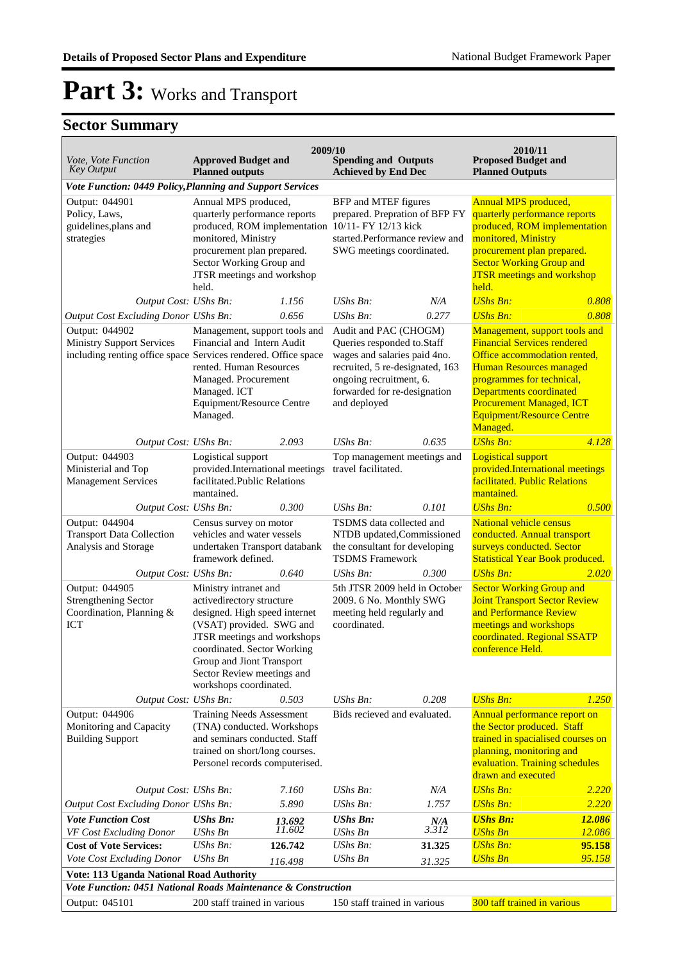| Vote, Vote Function<br><b>Key Output</b>                                                                             | <b>Approved Budget and</b><br><b>Planned outputs</b>                                                                                                                                                                                                               | 2009/10 | <b>Spending and Outputs</b><br><b>Achieved by End Dec</b>                                                                                                                                         |                     | 2010/11<br><b>Proposed Budget and</b><br><b>Planned Outputs</b>                                                                                                                                                                                                                  |        |
|----------------------------------------------------------------------------------------------------------------------|--------------------------------------------------------------------------------------------------------------------------------------------------------------------------------------------------------------------------------------------------------------------|---------|---------------------------------------------------------------------------------------------------------------------------------------------------------------------------------------------------|---------------------|----------------------------------------------------------------------------------------------------------------------------------------------------------------------------------------------------------------------------------------------------------------------------------|--------|
| Vote Function: 0449 Policy, Planning and Support Services                                                            |                                                                                                                                                                                                                                                                    |         |                                                                                                                                                                                                   |                     |                                                                                                                                                                                                                                                                                  |        |
| Output: 044901<br>Policy, Laws,<br>guidelines, plans and<br>strategies                                               | Annual MPS produced,<br>quarterly performance reports<br>monitored, Ministry<br>procurement plan prepared.<br>Sector Working Group and<br>JTSR meetings and workshop<br>held.                                                                                      |         | BFP and MTEF figures<br>prepared. Prepration of BFP FY<br>produced, ROM implementation 10/11- FY 12/13 kick<br>started.Performance review and<br>SWG meetings coordinated.                        |                     | <b>Annual MPS produced,</b><br>quarterly performance reports<br>produced, ROM implementation<br>monitored, Ministry<br>procurement plan prepared.<br><b>Sector Working Group and</b><br><b>JTSR</b> meetings and workshop<br>held.                                               |        |
| Output Cost: UShs Bn:                                                                                                |                                                                                                                                                                                                                                                                    | 1.156   | UShs Bn:                                                                                                                                                                                          | N/A                 | <b>UShs Bn:</b>                                                                                                                                                                                                                                                                  | 0.808  |
| Output Cost Excluding Donor UShs Bn:                                                                                 |                                                                                                                                                                                                                                                                    | 0.656   | <b>UShs Bn:</b>                                                                                                                                                                                   | 0.277               | <b>UShs Bn:</b>                                                                                                                                                                                                                                                                  | 0.808  |
| Output: 044902<br><b>Ministry Support Services</b><br>including renting office space Services rendered. Office space | Management, support tools and<br>Financial and Intern Audit<br>rented. Human Resources<br>Managed. Procurement<br>Managed. ICT<br>Equipment/Resource Centre<br>Managed.                                                                                            |         | Audit and PAC (CHOGM)<br>Queries responded to Staff<br>wages and salaries paid 4no.<br>recruited, 5 re-designated, 163<br>ongoing recruitment, 6.<br>forwarded for re-designation<br>and deployed |                     | Management, support tools and<br><b>Financial Services rendered</b><br>Office accommodation rented,<br><b>Human Resources managed</b><br>programmes for technical,<br>Departments coordinated<br><b>Procurement Managed, ICT</b><br><b>Equipment/Resource Centre</b><br>Managed. |        |
| Output Cost: UShs Bn:                                                                                                |                                                                                                                                                                                                                                                                    | 2.093   | UShs Bn:                                                                                                                                                                                          | 0.635               | <b>UShs Bn:</b>                                                                                                                                                                                                                                                                  | 4.128  |
| Output: 044903<br>Ministerial and Top<br><b>Management Services</b>                                                  | Logistical support<br>provided.International meetings<br>facilitated.Public Relations<br>mantained.                                                                                                                                                                |         | Top management meetings and<br>travel facilitated.                                                                                                                                                |                     | <b>Logistical support</b><br>provided.International meetings<br>facilitated. Public Relations<br>mantained.                                                                                                                                                                      |        |
| Output Cost: UShs Bn:                                                                                                |                                                                                                                                                                                                                                                                    | 0.300   | UShs Bn:                                                                                                                                                                                          | 0.101               | <b>UShs Bn:</b>                                                                                                                                                                                                                                                                  | 0.500  |
| Output: 044904<br><b>Transport Data Collection</b><br>Analysis and Storage                                           | Census survey on motor<br>vehicles and water vessels<br>undertaken Transport databank<br>framework defined.                                                                                                                                                        |         | TSDMS data collected and<br>NTDB updated, Commissioned<br>the consultant for developing<br><b>TSDMS</b> Framework                                                                                 |                     | <b>National vehicle census</b><br>conducted. Annual transport<br>surveys conducted. Sector<br><b>Statistical Year Book produced.</b>                                                                                                                                             |        |
| Output Cost: UShs Bn:                                                                                                |                                                                                                                                                                                                                                                                    | 0.640   | <b>UShs Bn:</b>                                                                                                                                                                                   | 0.300               | <b>UShs Bn:</b>                                                                                                                                                                                                                                                                  | 2.020  |
| Output: 044905<br><b>Strengthening Sector</b><br>Coordination, Planning &<br>ICT                                     | Ministry intranet and<br>activedirectory structure<br>designed. High speed internet<br>(VSAT) provided. SWG and<br>JTSR meetings and workshops<br>coordinated. Sector Working<br>Group and Jiont Transport<br>Sector Review meetings and<br>workshops coordinated. |         | 5th JTSR 2009 held in October<br>2009. 6 No. Monthly SWG<br>meeting held regularly and<br>coordinated.                                                                                            |                     | <b>Sector Working Group and</b><br><b>Joint Transport Sector Review</b><br>and Performance Review<br>meetings and workshops<br>coordinated. Regional SSATP<br>conference Held.                                                                                                   |        |
| Output Cost: UShs Bn:                                                                                                |                                                                                                                                                                                                                                                                    | 0.503   | UShs Bn:                                                                                                                                                                                          | 0.208               | <b>UShs Bn:</b>                                                                                                                                                                                                                                                                  | 1.250  |
| Output: 044906<br>Monitoring and Capacity<br><b>Building Support</b>                                                 | <b>Training Needs Assessment</b><br>(TNA) conducted. Workshops<br>and seminars conducted. Staff<br>trained on short/long courses.<br>Personel records computerised.                                                                                                |         | Bids recieved and evaluated.                                                                                                                                                                      |                     | Annual performance report on<br>the Sector produced. Staff<br>trained in spacialised courses on<br>planning, monitoring and<br>evaluation. Training schedules<br>drawn and executed                                                                                              |        |
| Output Cost: UShs Bn:                                                                                                |                                                                                                                                                                                                                                                                    | 7.160   | $UShs Bn$ :                                                                                                                                                                                       | N/A                 | <b>UShs Bn:</b>                                                                                                                                                                                                                                                                  | 2.220  |
| <b>Output Cost Excluding Donor UShs Bn:</b>                                                                          |                                                                                                                                                                                                                                                                    | 5.890   | UShs Bn:                                                                                                                                                                                          | 1.757               | <b>UShs Bn:</b>                                                                                                                                                                                                                                                                  | 2.220  |
| <b>Vote Function Cost</b>                                                                                            | <b>UShs Bn:</b>                                                                                                                                                                                                                                                    | 13.692  | <b>UShs Bn:</b>                                                                                                                                                                                   | $\frac{N}{A}$ 3.312 | <b>UShs Bn:</b>                                                                                                                                                                                                                                                                  | 12.086 |
| VF Cost Excluding Donor                                                                                              | <b>UShs Bn</b>                                                                                                                                                                                                                                                     | 11.602  | UShs Bn                                                                                                                                                                                           |                     | <b>UShs Bn</b>                                                                                                                                                                                                                                                                   | 12.086 |
| <b>Cost of Vote Services:</b>                                                                                        | UShs Bn:                                                                                                                                                                                                                                                           | 126.742 | UShs Bn:                                                                                                                                                                                          | 31.325              | <b>UShs Bn:</b>                                                                                                                                                                                                                                                                  | 95.158 |
| Vote Cost Excluding Donor                                                                                            | UShs Bn                                                                                                                                                                                                                                                            | 116.498 | <b>UShs Bn</b>                                                                                                                                                                                    | 31.325              | <b>UShs Bn</b>                                                                                                                                                                                                                                                                   | 95.158 |
| <b>Vote: 113 Uganda National Road Authority</b>                                                                      |                                                                                                                                                                                                                                                                    |         |                                                                                                                                                                                                   |                     |                                                                                                                                                                                                                                                                                  |        |
| Vote Function: 0451 National Roads Maintenance & Construction                                                        |                                                                                                                                                                                                                                                                    |         |                                                                                                                                                                                                   |                     |                                                                                                                                                                                                                                                                                  |        |
| Output: 045101                                                                                                       | 200 staff trained in various                                                                                                                                                                                                                                       |         | 150 staff trained in various                                                                                                                                                                      |                     | 300 taff trained in various                                                                                                                                                                                                                                                      |        |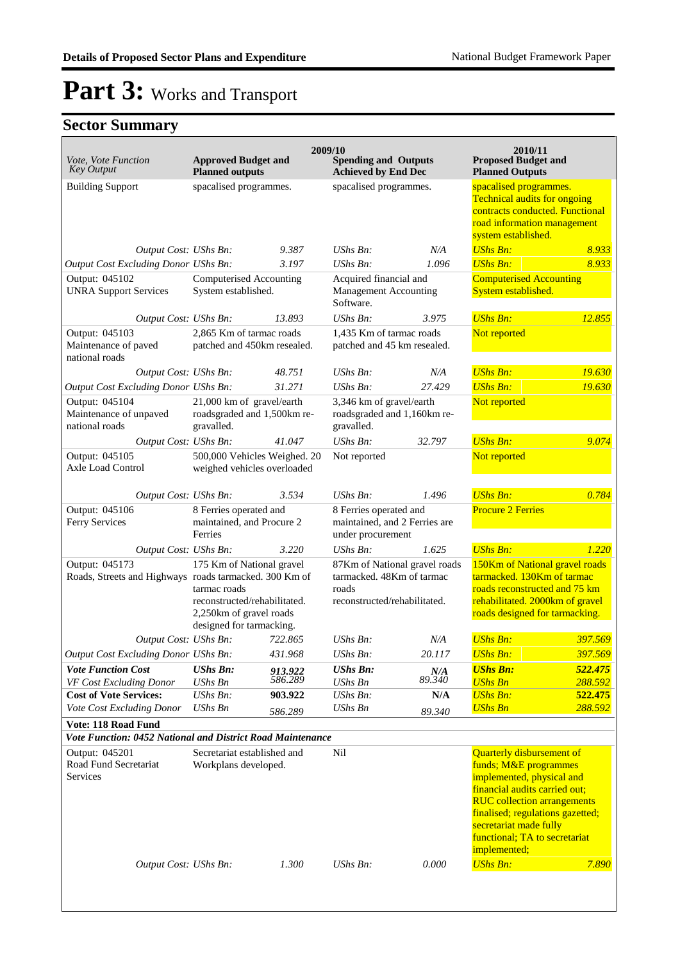| <i>Vote, Vote Function</i><br><b>Key Output</b>                          | <b>Approved Budget and</b><br><b>Planned outputs</b>                                                                             |                                                  | 2009/10<br><b>Spending and Outputs</b><br><b>Achieved by End Dec</b>                                |               | 2010/11<br><b>Proposed Budget and</b><br><b>Planned Outputs</b>                                                                                                                                                                                                              |                    |
|--------------------------------------------------------------------------|----------------------------------------------------------------------------------------------------------------------------------|--------------------------------------------------|-----------------------------------------------------------------------------------------------------|---------------|------------------------------------------------------------------------------------------------------------------------------------------------------------------------------------------------------------------------------------------------------------------------------|--------------------|
| <b>Building Support</b>                                                  |                                                                                                                                  | spacalised programmes.<br>spacalised programmes. |                                                                                                     |               | spacalised programmes.<br><b>Technical audits for ongoing</b><br>contracts conducted. Functional<br>road information management<br>system established.                                                                                                                       |                    |
| Output Cost: UShs Bn:                                                    |                                                                                                                                  | 9.387                                            | UShs Bn:                                                                                            | N/A           | <b>UShs Bn:</b>                                                                                                                                                                                                                                                              | 8.933              |
| Output Cost Excluding Donor UShs Bn:                                     |                                                                                                                                  | 3.197                                            | $UShs Bn$ :                                                                                         | 1.096         | <b>UShs Bn:</b>                                                                                                                                                                                                                                                              | 8.933              |
| Output: 045102<br><b>UNRA Support Services</b>                           | Computerised Accounting<br>System established.                                                                                   |                                                  | Acquired financial and<br><b>Management Accounting</b><br>Software.                                 |               | <b>Computerised Accounting</b><br>System established.                                                                                                                                                                                                                        |                    |
| Output Cost: UShs Bn:                                                    |                                                                                                                                  | 13.893                                           | $UShs Bn$ :                                                                                         | 3.975         | <b>UShs Bn:</b>                                                                                                                                                                                                                                                              | 12.855             |
| Output: 045103<br>Maintenance of paved<br>national roads                 | 2,865 Km of tarmac roads<br>patched and 450km resealed.                                                                          |                                                  | 1,435 Km of tarmac roads<br>patched and 45 km resealed.                                             |               | Not reported                                                                                                                                                                                                                                                                 |                    |
| Output Cost: UShs Bn:                                                    |                                                                                                                                  | 48.751                                           | $UShs Bn$ :                                                                                         | N/A           | <b>UShs Bn:</b>                                                                                                                                                                                                                                                              | 19.630             |
| Output Cost Excluding Donor UShs Bn:                                     |                                                                                                                                  | 31.271                                           | $UShs Bn$ :                                                                                         | 27.429        | <b>UShs Bn:</b>                                                                                                                                                                                                                                                              | 19.630             |
| Output: 045104<br>Maintenance of unpaved<br>national roads               | 21,000 km of gravel/earth<br>roadsgraded and 1,500km re-<br>gravalled.                                                           |                                                  | 3,346 km of gravel/earth<br>roadsgraded and 1,160km re-<br>gravalled.                               |               | Not reported                                                                                                                                                                                                                                                                 |                    |
| Output Cost: UShs Bn:                                                    |                                                                                                                                  | 41.047                                           | $UShs Bn$ :                                                                                         | 32.797        | <b>UShs Bn:</b>                                                                                                                                                                                                                                                              | 9.074              |
| Output: 045105<br>Axle Load Control                                      | 500,000 Vehicles Weighed. 20<br>weighed vehicles overloaded                                                                      |                                                  | Not reported                                                                                        |               | Not reported                                                                                                                                                                                                                                                                 |                    |
| Output Cost: UShs Bn:                                                    |                                                                                                                                  | 3.534                                            | UShs Bn:                                                                                            | 1.496         | <b>UShs Bn:</b>                                                                                                                                                                                                                                                              | 0.784              |
| Output: 045106<br>Ferry Services                                         | 8 Ferries operated and<br>maintained, and Procure 2<br>Ferries                                                                   |                                                  | 8 Ferries operated and<br>maintained, and 2 Ferries are<br>under procurement                        |               | <b>Procure 2 Ferries</b>                                                                                                                                                                                                                                                     |                    |
| Output Cost: UShs Bn:                                                    |                                                                                                                                  | 3.220                                            | UShs Bn:                                                                                            | 1.625         | <b>UShs Bn:</b>                                                                                                                                                                                                                                                              | 1.220              |
| Output: 045173<br>Roads, Streets and Highways roads tarmacked. 300 Km of | 175 Km of National gravel<br>tarmac roads<br>reconstructed/rehabilitated.<br>2,250km of gravel roads<br>designed for tarmacking. |                                                  | 87Km of National gravel roads<br>tarmacked. 48Km of tarmac<br>roads<br>reconstructed/rehabilitated. |               | 150Km of National gravel roads<br>tarmacked. 130Km of tarmac<br>roads reconstructed and 75 km<br>rehabilitated. 2000km of gravel<br>roads designed for tarmacking.                                                                                                           |                    |
| Output Cost: UShs Bn:                                                    |                                                                                                                                  | 722.865                                          | $UShs Bn$ :                                                                                         | N/A           | <b>UShs Bn:</b>                                                                                                                                                                                                                                                              | 397.569            |
| <b>Output Cost Excluding Donor UShs Bn:</b>                              |                                                                                                                                  | 431.968                                          | UShs Bn:                                                                                            | 20.117        | <b>UShs Bn:</b>                                                                                                                                                                                                                                                              | 397.569            |
| <b>Vote Function Cost</b>                                                | <b>UShs Bn:</b>                                                                                                                  | 913.922<br>586.289                               | <b>UShs Bn:</b>                                                                                     | N/A<br>89.340 | <b>UShs Bn:</b>                                                                                                                                                                                                                                                              | 522.475            |
| VF Cost Excluding Donor<br><b>Cost of Vote Services:</b>                 | UShs Bn<br>UShs Bn:                                                                                                              | 903.922                                          | UShs Bn<br><b>UShs Bn:</b>                                                                          | N/A           | <b>UShs Bn</b><br><b>UShs Bn:</b>                                                                                                                                                                                                                                            | 288.592<br>522.475 |
| Vote Cost Excluding Donor                                                | UShs Bn                                                                                                                          | 586.289                                          | <b>UShs Bn</b>                                                                                      | 89.340        | <b>UShs Bn</b>                                                                                                                                                                                                                                                               | 288.592            |
| Vote: 118 Road Fund                                                      |                                                                                                                                  |                                                  |                                                                                                     |               |                                                                                                                                                                                                                                                                              |                    |
| Vote Function: 0452 National and District Road Maintenance               |                                                                                                                                  |                                                  |                                                                                                     |               |                                                                                                                                                                                                                                                                              |                    |
| Output: 045201<br>Road Fund Secretariat<br>Services                      | Secretariat established and<br>Workplans developed.                                                                              |                                                  | Nil                                                                                                 |               | <b>Quarterly disbursement of</b><br>funds; M&E programmes<br>implemented, physical and<br>financial audits carried out;<br><b>RUC</b> collection arrangements<br>finalised; regulations gazetted;<br>secretariat made fully<br>functional; TA to secretariat<br>implemented; |                    |
| Output Cost: UShs Bn:                                                    |                                                                                                                                  | 1.300                                            | UShs Bn:                                                                                            | 0.000         | <b>UShs Bn:</b>                                                                                                                                                                                                                                                              | 7.890              |